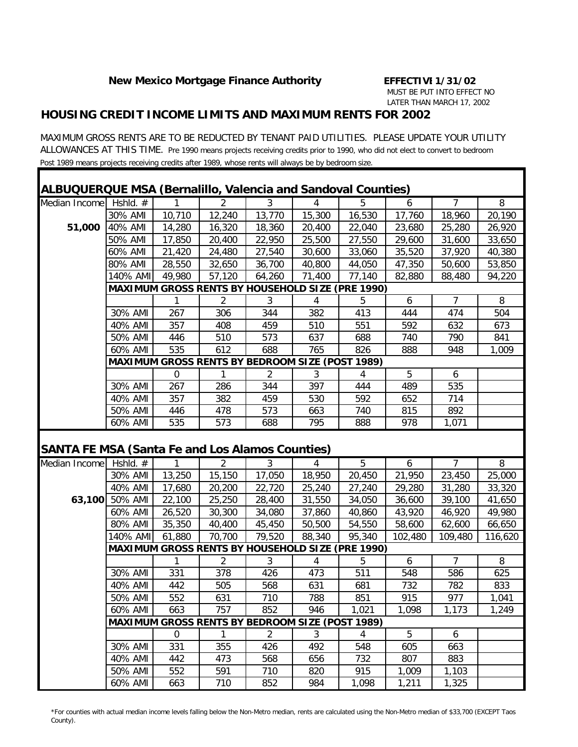#### *HOUSING CREDIT INCOME LIMITS AND MAXIMUM RENTS FOR 2002*

MAXIMUM GROSS RENTS ARE TO BE REDUCTED BY TENANT PAID UTILITIES. PLEASE UPDATE YOUR UTILITY ALLOWANCES AT THIS TIME. Pre 1990 means projects receiving credits prior to 1990, who did not elect to convert to bedroom Post 1989 means projects receiving credits after 1989, whose rents will always be by bedroom size.

| ALBUQUERQUE MSA (Bernalillo, Valencia and Sandoval Counties)<br>Median Income | Hshld. $#$         |             | 2                                                      | 3              | 4              | 5                                                       | 6              | 7              | 8       |
|-------------------------------------------------------------------------------|--------------------|-------------|--------------------------------------------------------|----------------|----------------|---------------------------------------------------------|----------------|----------------|---------|
|                                                                               | 30% AMI            | 10,710      | 12,240                                                 | 13,770         | 15,300         | 16,530                                                  | 17,760         | 18,960         | 20,190  |
| 51,000                                                                        | 40% AMI            | 14,280      | 16,320                                                 | 18,360         | 20,400         | 22,040                                                  | 23,680         | 25,280         | 26,920  |
|                                                                               | 50% AMI            | 17,850      | 20,400                                                 | 22,950         | 25,500         | 27,550                                                  | 29,600         | 31,600         | 33,650  |
|                                                                               | 60% AMI            | 21,420      | 24,480                                                 | 27,540         | 30,600         | 33,060                                                  | 35,520         | 37,920         | 40,380  |
|                                                                               | 80% AMI            | 28,550      | 32,650                                                 | 36,700         | 40,800         | 44,050                                                  | 47,350         | 50,600         | 53,850  |
|                                                                               | 140% AMI           | 49,980      | 57,120                                                 | 64,260         | 71,400         | 77,140                                                  | 82,880         | 88,480         | 94,220  |
|                                                                               |                    |             |                                                        |                |                | <b>MAXIMUM GROSS RENTS BY HOUSEHOLD SIZE (PRE 1990)</b> |                |                |         |
|                                                                               |                    | 1           | 2                                                      | 3              | $\overline{4}$ | 5                                                       | 6              | 7              | 8       |
|                                                                               | 30% AMI            | 267         | 306                                                    | 344            | 382            | 413                                                     | 444            | 474            | 504     |
|                                                                               | 40% AMI            | 357         | 408                                                    | 459            | 510            | 551                                                     | 592            | 632            | 673     |
|                                                                               | 50% AMI            | 446         | 510                                                    | 573            | 637            | 688                                                     | 740            | 790            | 841     |
|                                                                               | 60% AMI            | 535         | 612                                                    | 688            | 765            | 826                                                     | 888            | 948            | 1,009   |
|                                                                               |                    |             | <b>MAXIMUM GROSS RENTS BY BEDROOM SIZE (POST 1989)</b> |                |                |                                                         |                |                |         |
|                                                                               |                    | $\mathbf 0$ |                                                        | 2              | 3              | 4                                                       | 5              | 6              |         |
|                                                                               | 30% AMI            | 267         | 286                                                    | 344            | 397            | 444                                                     | 489            | 535            |         |
|                                                                               | 40% AMI            | 357         | 382                                                    | 459            | 530            | 592                                                     | 652            | 714            |         |
|                                                                               | 50% AMI            | 446         | 478                                                    | 573            | 663            | 740                                                     | 815            | 892            |         |
|                                                                               |                    |             |                                                        |                |                |                                                         |                |                |         |
|                                                                               | 60% AMI            | 535         | 573                                                    | 688            | 795            | 888                                                     | 978            | 1,071          |         |
|                                                                               |                    |             |                                                        |                |                |                                                         |                |                |         |
|                                                                               | Hshld. $#$         |             | 2                                                      | 3              | 4              | 5                                                       | 6              | 7              | 8       |
|                                                                               | 30% AMI            | 13,250      | 15,150                                                 | 17,050         | 18,950         | 20,450                                                  | 21,950         | 23,450         | 25,000  |
|                                                                               | 40% AMI            | 17,680      | 20,200                                                 | 22,720         | 25,240         | 27,240                                                  | 29,280         | 31,280         | 33,320  |
| 63,100                                                                        | 50% AMI            | 22,100      | 25,250                                                 | 28,400         | 31,550         | 34,050                                                  | 36,600         | 39,100         | 41,650  |
|                                                                               | 60% AMI            | 26,520      | 30,300                                                 | 34,080         | 37,860         | 40,860                                                  | 43,920         | 46,920         | 49,980  |
|                                                                               | 80% AMI            | 35,350      | 40,400                                                 | 45,450         | 50,500         | 54,550                                                  | 58,600         | 62,600         | 66,650  |
|                                                                               | 140% AMI           | 61,880      | 70,700                                                 | 79,520         | 88,340         | 95,340                                                  | 102,480        | 109,480        |         |
|                                                                               |                    |             |                                                        |                |                | <b>MAXIMUM GROSS RENTS BY HOUSEHOLD SIZE (PRE 1990)</b> |                |                | 116,620 |
|                                                                               |                    | 1           | 2                                                      | 3              | $\overline{4}$ | 5                                                       | 6              | 7              | 8       |
|                                                                               | 30% AMI            | 331         | 378                                                    | 426            | 473            | 511                                                     | 548            | 586            | 625     |
|                                                                               | 40% AMI            | 442         | 505                                                    | 568            | 631            | 681                                                     | 732            | 782            | 833     |
|                                                                               | 50% AMI            | 552         | 631                                                    | 710            | 788            | 851                                                     | 915            | 977            | 1,041   |
|                                                                               | 60% AMI            | 663         | 757                                                    | 852            | 946            | 1,021                                                   | 1,098          | 1,173          | 1,249   |
|                                                                               |                    |             | <b>MAXIMUM GROSS RENTS BY BEDROOM SIZE (POST 1989)</b> |                |                |                                                         |                |                |         |
|                                                                               |                    | $\mathbf 0$ | 1                                                      | $\overline{2}$ | 3              | 4                                                       | 5              | 6              |         |
|                                                                               | 30% AMI            | 331         | 355                                                    | 426            | 492            | 548                                                     | 605            | 663            |         |
|                                                                               | 40% AMI            | 442         | 473                                                    | 568            | 656            | 732                                                     | 807            | 883            |         |
| <b>SANTA FE MSA (Santa Fe and Los Alamos Counties)</b><br>Median Income       | 50% AMI<br>60% AMI | 552<br>663  | 591<br>710                                             | 710<br>852     | 820<br>984     | 915<br>1,098                                            | 1,009<br>1,211 | 1,103<br>1,325 |         |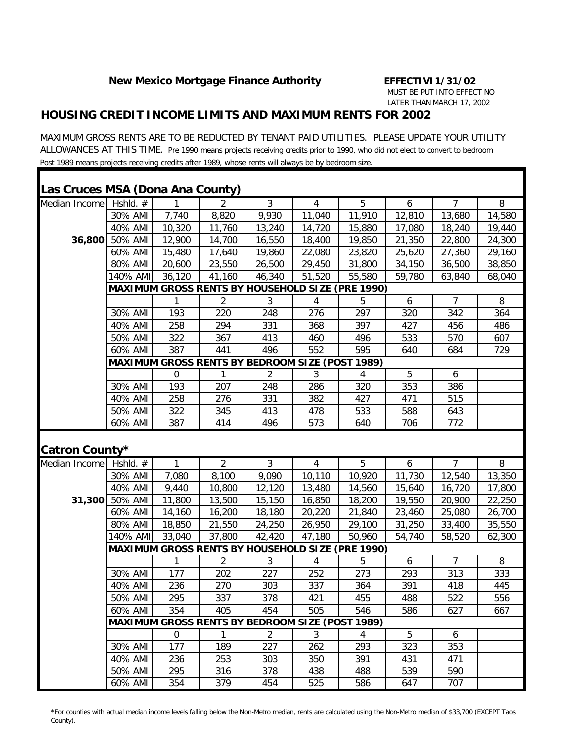#### *HOUSING CREDIT INCOME LIMITS AND MAXIMUM RENTS FOR 2002*

MAXIMUM GROSS RENTS ARE TO BE REDUCTED BY TENANT PAID UTILITIES. PLEASE UPDATE YOUR UTILITY ALLOWANCES AT THIS TIME. Pre 1990 means projects receiving credits prior to 1990, who did not elect to convert to bedroom Post 1989 means projects receiving credits after 1989, whose rents will always be by bedroom size.

| Las Cruces MSA (Dona Ana County) |                |             |                                                        |                |        |                                                         |        |                |        |
|----------------------------------|----------------|-------------|--------------------------------------------------------|----------------|--------|---------------------------------------------------------|--------|----------------|--------|
| Median Income                    | Hshld. $#$     |             | 2                                                      | 3              | 4      | 5                                                       | 6      | 7              | 8      |
|                                  | 30% AMI        | 7,740       | 8,820                                                  | 9,930          | 11,040 | 11,910                                                  | 12,810 | 13,680         | 14,580 |
|                                  | 40% AMI        | 10,320      | 11,760                                                 | 13,240         | 14,720 | 15,880                                                  | 17,080 | 18,240         | 19,440 |
|                                  | 36,800 50% AMI | 12,900      | 14,700                                                 | 16,550         | 18,400 | 19,850                                                  | 21,350 | 22,800         | 24,300 |
|                                  | 60% AMI        | 15,480      | 17,640                                                 | 19,860         | 22,080 | 23,820                                                  | 25,620 | 27,360         | 29,160 |
|                                  | 80% AMI        | 20,600      | 23,550                                                 | 26,500         | 29,450 | 31,800                                                  | 34,150 | 36,500         | 38,850 |
|                                  | 140% AMI       | 36,120      | 41,160                                                 | 46,340         | 51,520 | 55,580                                                  | 59,780 | 63,840         | 68,040 |
|                                  |                |             |                                                        |                |        | <b>MAXIMUM GROSS RENTS BY HOUSEHOLD SIZE (PRE 1990)</b> |        |                |        |
|                                  |                | 1           | $\overline{2}$                                         | $\mathfrak{Z}$ | 4      | 5                                                       | 6      | $\overline{7}$ | 8      |
|                                  | 30% AMI        | 193         | 220                                                    | 248            | 276    | 297                                                     | 320    | 342            | 364    |
|                                  | 40% AMI        | 258         | 294                                                    | 331            | 368    | 397                                                     | 427    | 456            | 486    |
|                                  | 50% AMI        | 322         | 367                                                    | 413            | 460    | 496                                                     | 533    | 570            | 607    |
|                                  | 60% AMI        | 387         | 441                                                    | 496            | 552    | 595                                                     | 640    | 684            | 729    |
|                                  |                |             | <b>MAXIMUM GROSS RENTS BY BEDROOM SIZE (POST 1989)</b> |                |        |                                                         |        |                |        |
|                                  |                | $\mathbf 0$ | 1                                                      | 2              | 3      | 4                                                       | 5      | 6              |        |
|                                  | 30% AMI        | 193         | 207                                                    | 248            | 286    | 320                                                     | 353    | 386            |        |
|                                  | 40% AMI        | 258         | 276                                                    | 331            | 382    | 427                                                     | 471    | 515            |        |
|                                  | 50% AMI        | 322         | 345                                                    | 413            | 478    | 533                                                     | 588    | 643            |        |
|                                  | 60% AMI        | 387         | 414                                                    | 496            | 573    | 640                                                     | 706    | 772            |        |
| Catron County*                   |                |             |                                                        |                |        |                                                         |        |                |        |
| Median Income                    | Hshld. $#$     | 1           | $\overline{2}$                                         | $\mathfrak{Z}$ | 4      | 5                                                       | 6      | 7              | 8      |
|                                  | 30% AMI        | 7,080       | 8,100                                                  | 9,090          | 10,110 | 10,920                                                  | 11,730 | 12,540         | 13,350 |
|                                  | 40% AMI        | 9,440       | 10,800                                                 | 12,120         | 13,480 | 14,560                                                  | 15,640 | 16,720         | 17,800 |
|                                  | 31,300 50% AMI | 11,800      | 13,500                                                 | 15,150         | 16,850 | 18,200                                                  | 19,550 | 20,900         | 22,250 |
|                                  | 60% AMI        | 14,160      | 16,200                                                 | 18,180         | 20,220 | 21,840                                                  | 23,460 | 25,080         | 26,700 |
|                                  | 80% AMI        | 18,850      | 21,550                                                 | 24,250         | 26,950 | 29,100                                                  | 31,250 | 33,400         | 35,550 |
|                                  | 140% AMI       | 33,040      | 37,800                                                 | 42,420         | 47,180 | 50,960                                                  | 54,740 | 58,520         | 62,300 |
|                                  |                |             |                                                        |                |        | <b>MAXIMUM GROSS RENTS BY HOUSEHOLD SIZE (PRE 1990)</b> |        |                |        |
|                                  |                | 1           | $\overline{2}$                                         | 3              | 4      | 5                                                       | 6      | $\overline{7}$ | 8      |
|                                  | 30% AMI        | 177         | 202                                                    | 227            | 252    | 273                                                     | 293    | 313            | 333    |
|                                  | 40% AMI        | 236         | 270                                                    | 303            | 337    | 364                                                     | 391    | 418            | 445    |
|                                  | 50% AMI        | 295         | 337                                                    | 378            | 421    | 455                                                     | 488    | 522            | 556    |
|                                  | 60% AMI        | 354         | 405                                                    | 454            | 505    | 546                                                     | 586    | 627            | 667    |
|                                  |                |             | <b>MAXIMUM GROSS RENTS BY BEDROOM SIZE (POST 1989)</b> |                |        |                                                         |        |                |        |
|                                  |                | 0           | 1                                                      | $\overline{2}$ | 3      | 4                                                       | 5      | 6              |        |
|                                  | 30% AMI        | 177         | 189                                                    | 227            | 262    | 293                                                     | 323    | 353            |        |
|                                  | 40% AMI        | 236         | 253                                                    | 303            | 350    | 391                                                     | 431    | 471            |        |
|                                  |                |             |                                                        |                |        |                                                         |        |                |        |
|                                  | 50% AMI        | 295         | 316                                                    | 378            | 438    | 488                                                     | 539    | 590            |        |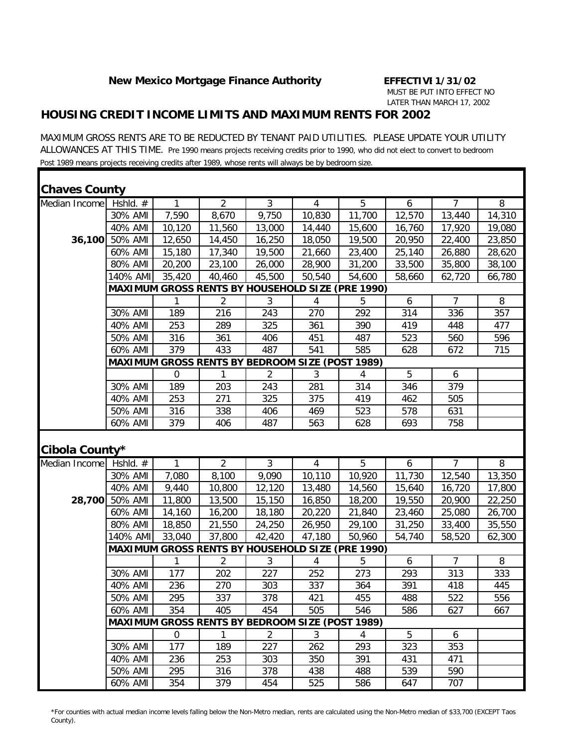### *HOUSING CREDIT INCOME LIMITS AND MAXIMUM RENTS FOR 2002*

MAXIMUM GROSS RENTS ARE TO BE REDUCTED BY TENANT PAID UTILITIES. PLEASE UPDATE YOUR UTILITY ALLOWANCES AT THIS TIME. Pre 1990 means projects receiving credits prior to 1990, who did not elect to convert to bedroom Post 1989 means projects receiving credits after 1989, whose rents will always be by bedroom size.

| <b>Chaves County</b> |                |                                                        |                |                |                |                                                         |        |                |        |
|----------------------|----------------|--------------------------------------------------------|----------------|----------------|----------------|---------------------------------------------------------|--------|----------------|--------|
| Median Income        | Hshld. #       | 1                                                      | 2              | $\mathfrak{Z}$ | $\overline{4}$ | 5                                                       | 6      | $\overline{7}$ | 8      |
|                      | 30% AMI        | 7,590                                                  | 8,670          | 9,750          | 10,830         | 11,700                                                  | 12,570 | 13,440         | 14,310 |
|                      | 40% AMI        | 10,120                                                 | 11,560         | 13,000         | 14,440         | 15,600                                                  | 16,760 | 17,920         | 19,080 |
|                      | 36,100 50% AMI | 12,650                                                 | 14,450         | 16,250         | 18,050         | 19,500                                                  | 20,950 | 22,400         | 23,850 |
|                      | 60% AMI        | 15,180                                                 | 17,340         | 19,500         | 21,660         | 23,400                                                  | 25,140 | 26,880         | 28,620 |
|                      | 80% AMI        | 20,200                                                 | 23,100         | 26,000         | 28,900         | 31,200                                                  | 33,500 | 35,800         | 38,100 |
|                      | 140% AMI       | 35,420                                                 | 40,460         | 45,500         | 50,540         | 54,600                                                  | 58,660 | 62,720         | 66,780 |
|                      |                |                                                        |                |                |                | <b>MAXIMUM GROSS RENTS BY HOUSEHOLD SIZE (PRE 1990)</b> |        |                |        |
|                      |                | 1                                                      | 2              | $\mathfrak{Z}$ | 4              | 5                                                       | 6      | $\overline{7}$ | 8      |
|                      | 30% AMI        | 189                                                    | 216            | 243            | 270            | 292                                                     | 314    | 336            | 357    |
|                      | 40% AMI        | 253                                                    | 289            | 325            | 361            | 390                                                     | 419    | 448            | 477    |
|                      | 50% AMI        | 316                                                    | 361            | 406            | 451            | 487                                                     | 523    | 560            | 596    |
|                      | 60% AMI        | 379                                                    | 433            | 487            | 541            | 585                                                     | 628    | 672            | 715    |
|                      |                | <b>MAXIMUM GROSS RENTS BY BEDROOM SIZE (POST 1989)</b> |                |                |                |                                                         |        |                |        |
|                      |                | 0                                                      |                | 2              | 3              | 4                                                       | 5      | 6              |        |
|                      | 30% AMI        | 189                                                    | 203            | 243            | 281            | 314                                                     | 346    | 379            |        |
|                      | 40% AMI        | 253                                                    | 271            | 325            | 375            | 419                                                     | 462    | 505            |        |
|                      | 50% AMI        | 316                                                    | 338            | 406            | 469            | 523                                                     | 578    | 631            |        |
|                      | 60% AMI        | 379                                                    | 406            | 487            | 563            | 628                                                     | 693    | 758            |        |
| Cibola County*       |                |                                                        |                |                |                |                                                         |        |                |        |
| Median Income        | Hshld. #       | 1                                                      | $\overline{2}$ | $\mathfrak{Z}$ | $\overline{4}$ | 5                                                       | 6      | $\overline{7}$ | 8      |
|                      | 30% AMI        | 7,080                                                  | 8,100          | 9,090          | 10,110         | 10,920                                                  | 11,730 | 12,540         | 13,350 |
|                      | 40% AMI        | 9,440                                                  | 10,800         | 12,120         | 13,480         | 14,560                                                  | 15,640 | 16,720         | 17,800 |
|                      | 28,700 50% AMI | 11,800                                                 | 13,500         | 15,150         | 16,850         | 18,200                                                  | 19,550 | 20,900         | 22,250 |
|                      | 60% AMI        | 14,160                                                 | 16,200         | 18,180         | 20,220         | 21,840                                                  | 23,460 | 25,080         | 26,700 |
|                      | 80% AMI        | 18,850                                                 | 21,550         | 24,250         | 26,950         | 29,100                                                  | 31,250 | 33,400         | 35,550 |
|                      | 140% AMI       | 33,040                                                 | 37,800         | 42,420         | 47,180         | 50,960                                                  | 54,740 | 58,520         | 62,300 |
|                      |                |                                                        |                |                |                | <b>MAXIMUM GROSS RENTS BY HOUSEHOLD SIZE (PRE 1990)</b> |        |                |        |
|                      |                | 1                                                      | $\overline{2}$ | 3              | 4              | 5                                                       | 6      | $\overline{7}$ | 8      |
|                      | 30% AMI        | 177                                                    | 202            | 227            | 252            | 273                                                     | 293    | 313            | 333    |
|                      | 40% AMI        | 236                                                    | 270            | 303            | 337            | 364                                                     | 391    | 418            | 445    |
|                      | 50% AMI        | 295                                                    | 337            | 378            | 421            | 455                                                     | 488    | 522            | 556    |
|                      | 60% AMI        | 354                                                    | 405            | 454            | 505            | 546                                                     | 586    | 627            | 667    |
|                      |                | <b>MAXIMUM GROSS RENTS BY BEDROOM SIZE (POST 1989)</b> |                |                |                |                                                         |        |                |        |
|                      |                | $\mathbf 0$                                            | 1              | $\overline{2}$ | 3              | $\overline{4}$                                          | 5      | 6              |        |
|                      | 30% AMI        | 177                                                    | 189            | 227            | 262            | 293                                                     | 323    | 353            |        |
|                      | 40% AMI        | 236                                                    | 253            | 303            | 350            | 391                                                     | 431    | 471            |        |
|                      | 50% AMI        | 295                                                    | 316            | 378            | 438            | 488                                                     | 539    | 590            |        |
|                      | 60% AMI        | 354                                                    | 379            | 454            | 525            | 586                                                     | 647    | 707            |        |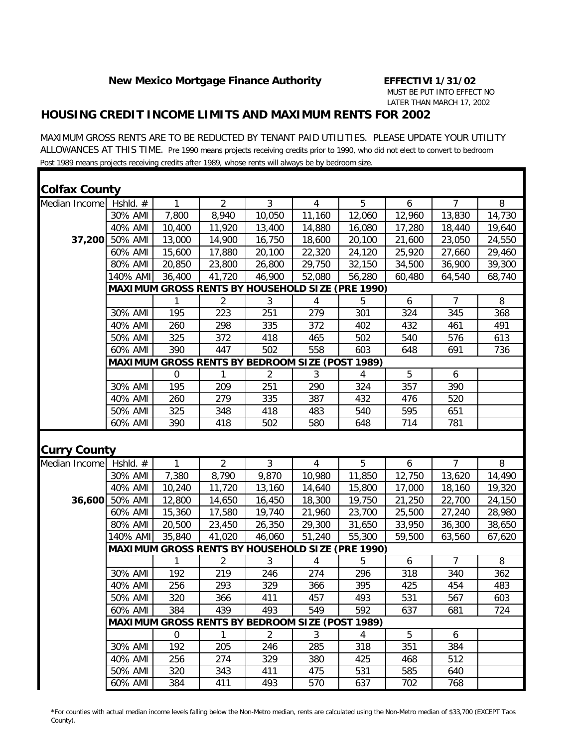### *HOUSING CREDIT INCOME LIMITS AND MAXIMUM RENTS FOR 2002*

MAXIMUM GROSS RENTS ARE TO BE REDUCTED BY TENANT PAID UTILITIES. PLEASE UPDATE YOUR UTILITY ALLOWANCES AT THIS TIME. Pre 1990 means projects receiving credits prior to 1990, who did not elect to convert to bedroom Post 1989 means projects receiving credits after 1989, whose rents will always be by bedroom size.

| <b>Colfax County</b> |          |             |                                                        |                |                |                                                         |        |                |        |
|----------------------|----------|-------------|--------------------------------------------------------|----------------|----------------|---------------------------------------------------------|--------|----------------|--------|
| Median Income        | Hshld. # | 1           | 2                                                      | $\mathfrak{Z}$ | $\overline{4}$ | 5                                                       | 6      | $\overline{7}$ | 8      |
|                      | 30% AMI  | 7,800       | 8,940                                                  | 10,050         | 11,160         | 12,060                                                  | 12,960 | 13,830         | 14,730 |
|                      | 40% AMI  | 10,400      | 11,920                                                 | 13,400         | 14,880         | 16,080                                                  | 17,280 | 18,440         | 19,640 |
| 37,200               | 50% AMI  | 13,000      | 14,900                                                 | 16,750         | 18,600         | 20,100                                                  | 21,600 | 23,050         | 24,550 |
|                      | 60% AMI  | 15,600      | 17,880                                                 | 20,100         | 22,320         | 24,120                                                  | 25,920 | 27,660         | 29,460 |
|                      | 80% AMI  | 20,850      | 23,800                                                 | 26,800         | 29,750         | 32,150                                                  | 34,500 | 36,900         | 39,300 |
|                      | 140% AMI | 36,400      | 41,720                                                 | 46,900         | 52,080         | 56,280                                                  | 60,480 | 64,540         | 68,740 |
|                      |          |             |                                                        |                |                | <b>MAXIMUM GROSS RENTS BY HOUSEHOLD SIZE (PRE 1990)</b> |        |                |        |
|                      |          | 1           | $\overline{2}$                                         | 3              | 4              | 5                                                       | 6      | $\overline{7}$ | 8      |
|                      | 30% AMI  | 195         | 223                                                    | 251            | 279            | 301                                                     | 324    | 345            | 368    |
|                      | 40% AMI  | 260         | 298                                                    | 335            | 372            | 402                                                     | 432    | 461            | 491    |
|                      | 50% AMI  | 325         | 372                                                    | 418            | 465            | 502                                                     | 540    | 576            | 613    |
|                      | 60% AMI  | 390         | 447                                                    | 502            | 558            | 603                                                     | 648    | 691            | 736    |
|                      |          |             | <b>MAXIMUM GROSS RENTS BY BEDROOM SIZE (POST 1989)</b> |                |                |                                                         |        |                |        |
|                      |          | $\mathbf 0$ | 1                                                      | $\overline{2}$ | 3              | 4                                                       | 5      | 6              |        |
|                      | 30% AMI  | 195         | 209                                                    | 251            | 290            | 324                                                     | 357    | 390            |        |
|                      | 40% AMI  | 260         | 279                                                    | 335            | 387            | 432                                                     | 476    | 520            |        |
|                      | 50% AMI  | 325         | 348                                                    | 418            | 483            | 540                                                     | 595    | 651            |        |
|                      | 60% AMI  | 390         | 418                                                    | 502            | 580            | 648                                                     | 714    | 781            |        |
| <b>Curry County</b>  |          |             |                                                        |                |                |                                                         |        |                |        |
| Median Income        | Hshld. # | 1           | 2                                                      | $\mathfrak{Z}$ | $\overline{4}$ | 5                                                       | 6      | $\overline{7}$ | 8      |
|                      | 30% AMI  | 7,380       | 8,790                                                  | 9,870          | 10,980         | 11,850                                                  | 12,750 | 13,620         | 14,490 |
|                      | 40% AMI  | 10,240      | 11,720                                                 | 13,160         | 14,640         | 15,800                                                  | 17,000 | 18,160         | 19,320 |
| 36,600               | 50% AMI  | 12,800      | 14,650                                                 | 16,450         | 18,300         | 19,750                                                  | 21,250 | 22,700         | 24,150 |
|                      | 60% AMI  | 15,360      | 17,580                                                 | 19,740         | 21,960         | 23,700                                                  | 25,500 | 27,240         | 28,980 |
|                      | 80% AMI  | 20,500      | 23,450                                                 | 26,350         | 29,300         | 31,650                                                  | 33,950 | 36,300         | 38,650 |
|                      | 140% AMI | 35,840      | 41,020                                                 | 46,060         | 51,240         | 55,300                                                  | 59,500 | 63,560         | 67,620 |
|                      |          |             |                                                        |                |                | MAXIMUM GROSS RENTS BY HOUSEHOLD SIZE (PRE 1990)        |        |                |        |
|                      |          |             | $\overline{2}$                                         | 3              | 4              | 5                                                       | 6      | $\overline{7}$ | 8      |
|                      | 30% AMI  | 192         | 219                                                    | 246            | 274            | 296                                                     | 318    | 340            | 362    |
|                      | 40% AMI  | 256         | 293                                                    | 329            | 366            | 395                                                     | 425    | 454            | 483    |
|                      | 50% AMI  | 320         | 366                                                    | 411            | 457            | 493                                                     | 531    | 567            | 603    |
|                      | 60% AMI  | 384         | 439                                                    | 493            | 549            | 592                                                     | 637    | 681            | 724    |
|                      |          |             | <b>MAXIMUM GROSS RENTS BY BEDROOM SIZE (POST 1989)</b> |                |                |                                                         |        |                |        |
|                      |          | $\mathbf 0$ | $\mathbf{1}$                                           | $\overline{2}$ | 3              | 4                                                       | 5      | 6              |        |
|                      | 30% AMI  | 192         | 205                                                    | 246            | 285            | 318                                                     | 351    | 384            |        |
|                      | 40% AMI  | 256         | 274                                                    | 329            | 380            | 425                                                     | 468    | 512            |        |
|                      | 50% AMI  | 320         | 343                                                    | 411            | 475            | 531                                                     | 585    | 640            |        |
|                      | 60% AMI  | 384         | 411                                                    | 493            | 570            | 637                                                     | 702    | 768            |        |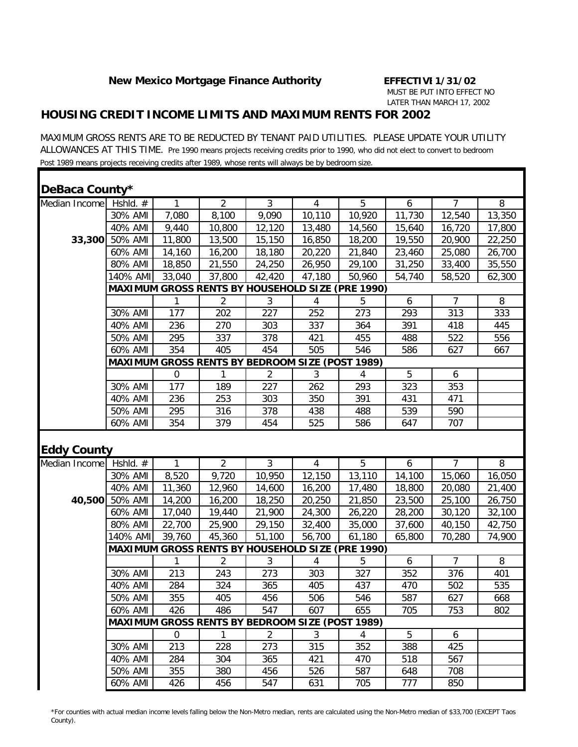### *HOUSING CREDIT INCOME LIMITS AND MAXIMUM RENTS FOR 2002*

MAXIMUM GROSS RENTS ARE TO BE REDUCTED BY TENANT PAID UTILITIES. PLEASE UPDATE YOUR UTILITY ALLOWANCES AT THIS TIME. Pre 1990 means projects receiving credits prior to 1990, who did not elect to convert to bedroom Post 1989 means projects receiving credits after 1989, whose rents will always be by bedroom size.

| DeBaca County*           |                    |                  |                                                        |                |                |                                                         |                  |                |        |
|--------------------------|--------------------|------------------|--------------------------------------------------------|----------------|----------------|---------------------------------------------------------|------------------|----------------|--------|
| Median Income   Hshld. # |                    | 1                | 2                                                      | $\mathfrak{Z}$ | $\overline{4}$ | 5                                                       | 6                | $\overline{7}$ | 8      |
|                          | 30% AMI            | 7,080            | 8,100                                                  | 9,090          | 10,110         | 10,920                                                  | 11,730           | 12,540         | 13,350 |
|                          | 40% AMI            | 9,440            | 10,800                                                 | 12,120         | 13,480         | 14,560                                                  | 15,640           | 16,720         | 17,800 |
| 33,300                   | 50% AMI            | 11,800           | 13,500                                                 | 15,150         | 16,850         | 18,200                                                  | 19,550           | 20,900         | 22,250 |
|                          | 60% AMI            | 14,160           | 16,200                                                 | 18,180         | 20,220         | 21,840                                                  | 23,460           | 25,080         | 26,700 |
|                          | 80% AMI            | 18,850           | 21,550                                                 | 24,250         | 26,950         | 29,100                                                  | 31,250           | 33,400         | 35,550 |
|                          | 140% AMI           | 33,040           | 37,800                                                 | 42,420         | 47,180         | 50,960                                                  | 54,740           | 58,520         | 62,300 |
|                          |                    |                  |                                                        |                |                | <b>MAXIMUM GROSS RENTS BY HOUSEHOLD SIZE (PRE 1990)</b> |                  |                |        |
|                          |                    | 1                | $\overline{2}$                                         | 3              | 4              | 5                                                       | $\boldsymbol{6}$ | $\overline{7}$ | 8      |
|                          | 30% AMI            | 177              | 202                                                    | 227            | 252            | 273                                                     | 293              | 313            | 333    |
|                          | 40% AMI            | 236              | 270                                                    | 303            | 337            | 364                                                     | 391              | 418            | 445    |
|                          | 50% AMI            | 295              | 337                                                    | 378            | 421            | 455                                                     | 488              | 522            | 556    |
|                          | 60% AMI            | 354              | 405                                                    | 454            | 505            | 546                                                     | 586              | 627            | 667    |
|                          |                    |                  | <b>MAXIMUM GROSS RENTS BY BEDROOM SIZE (POST 1989)</b> |                |                |                                                         |                  |                |        |
|                          |                    | $\boldsymbol{0}$ | 1                                                      | 2              | 3              | 4                                                       | 5                | 6              |        |
|                          | 30% AMI            | 177              | 189                                                    | 227            | 262            | 293                                                     | 323              | 353            |        |
|                          | 40% AMI            | 236              | 253                                                    | 303            | 350            | 391                                                     | 431              | 471            |        |
|                          | 50% AMI            | 295              | 316                                                    | 378            | 438            | 488                                                     | 539              | 590            |        |
|                          | 60% AMI            | 354              | 379                                                    | 454            | 525            | 586                                                     | 647              | 707            |        |
| <b>Eddy County</b>       |                    |                  |                                                        |                |                |                                                         |                  |                |        |
| Median Income            | Hshld. #           | 1                | 2                                                      | $\mathfrak{Z}$ | $\overline{4}$ | 5                                                       | 6                | $\overline{7}$ | 8      |
|                          | 30% AMI            | 8,520            | 9,720                                                  | 10,950         | 12,150         | 13,110                                                  | 14,100           | 15,060         | 16,050 |
|                          | 40% AMI            | 11,360           | 12,960                                                 | 14,600         | 16,200         | 17,480                                                  | 18,800           | 20,080         | 21,400 |
| 40,500                   | 50% AMI            | 14,200           | 16,200                                                 | 18,250         | 20,250         | 21,850                                                  | 23,500           | 25,100         | 26,750 |
|                          | 60% AMI            | 17,040           | 19,440                                                 | 21,900         | 24,300         | 26,220                                                  | 28,200           | 30,120         | 32,100 |
|                          | 80% AMI            | 22,700           | 25,900                                                 | 29,150         | 32,400         | 35,000                                                  | 37,600           | 40,150         | 42,750 |
|                          | 140% AMI           | 39,760           | 45,360                                                 | 51,100         | 56,700         | 61,180                                                  | 65,800           | 70,280         | 74,900 |
|                          |                    |                  |                                                        |                |                | <b>MAXIMUM GROSS RENTS BY HOUSEHOLD SIZE (PRE 1990)</b> |                  |                |        |
|                          |                    |                  | 2                                                      | 3              | 4              | 5                                                       | 6                | $\overline{7}$ | 8      |
|                          | 30% AMI            | 213              | 243                                                    | 273            | 303            | 327                                                     | 352              | 376            | 401    |
|                          | 40% AMI            | 284              | 324                                                    | 365            | 405            | 437                                                     | 470              | 502            | 535    |
|                          | 50% AMI            | 355              | 405                                                    | 456            | 506            | 546                                                     | 587              | 627            | 668    |
|                          | 60% AMI            | 426              | 486                                                    | 547            | 607            | 655                                                     | 705              | 753            | 802    |
|                          |                    |                  | <b>MAXIMUM GROSS RENTS BY BEDROOM SIZE (POST 1989)</b> |                |                |                                                         |                  |                |        |
|                          |                    | $\mathbf 0$      | $\mathbf{1}$                                           | $\overline{2}$ | 3              | 4                                                       | 5                | 6              |        |
|                          | 30% AMI            | 213              | 228                                                    | 273            | 315            | 352                                                     | 388              | 425            |        |
|                          | 40% AMI            | 284              | 304                                                    | 365            | 421            | 470                                                     | 518              | 567            |        |
|                          |                    |                  |                                                        |                |                |                                                         |                  |                |        |
|                          | 50% AMI<br>60% AMI | 355<br>426       | 380                                                    | 456<br>547     | 526            | 587                                                     | 648              | 708            |        |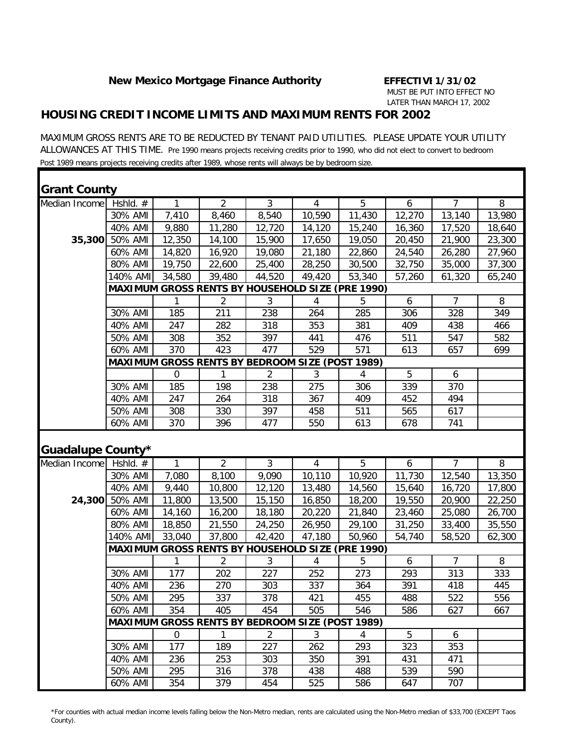### *HOUSING CREDIT INCOME LIMITS AND MAXIMUM RENTS FOR 2002*

MAXIMUM GROSS RENTS ARE TO BE REDUCTED BY TENANT PAID UTILITIES. PLEASE UPDATE YOUR UTILITY ALLOWANCES AT THIS TIME. Pre 1990 means projects receiving credits prior to 1990, who did not elect to convert to bedroom Post 1989 means projects receiving credits after 1989, whose rents will always be by bedroom size.

| <b>Grant County</b> |            |              |                                                        |                |                |                                                         |                  |                |                |
|---------------------|------------|--------------|--------------------------------------------------------|----------------|----------------|---------------------------------------------------------|------------------|----------------|----------------|
| Median Income       | Hshld. #   | 1            | $\overline{2}$                                         | $\overline{3}$ | $\overline{4}$ | $\overline{5}$                                          | 6                | $\overline{7}$ | 8              |
|                     | 30% AMI    | 7,410        | 8,460                                                  | 8,540          | 10,590         | 11,430                                                  | 12,270           | 13,140         | 13,980         |
|                     | 40% AMI    | 9,880        | 11,280                                                 | 12,720         | 14,120         | 15,240                                                  | 16,360           | 17,520         | 18,640         |
| 35,300              | 50% AMI    | 12,350       | 14,100                                                 | 15,900         | 17,650         | 19,050                                                  | 20,450           | 21,900         | 23,300         |
|                     | 60% AMI    | 14,820       | 16,920                                                 | 19,080         | 21,180         | 22,860                                                  | 24,540           | 26,280         | 27,960         |
|                     | 80% AMI    | 19,750       | 22,600                                                 | 25,400         | 28,250         | 30,500                                                  | 32,750           | 35,000         | 37,300         |
|                     | 140% AMI   | 34,580       | 39,480                                                 | 44,520         | 49,420         | 53,340                                                  | 57,260           | 61,320         | 65,240         |
|                     |            |              |                                                        |                |                | <b>MAXIMUM GROSS RENTS BY HOUSEHOLD SIZE (PRE 1990)</b> |                  |                |                |
|                     |            | 1            | $\overline{2}$                                         | 3              | 4              | 5                                                       | 6                | $\overline{7}$ | 8              |
|                     | 30% AMI    | 185          | 211                                                    | 238            | 264            | 285                                                     | 306              | 328            | 349            |
|                     | 40% AMI    | 247          | 282                                                    | 318            | 353            | 381                                                     | 409              | 438            | 466            |
|                     | 50% AMI    | 308          | 352                                                    | 397            | 441            | 476                                                     | 511              | 547            | 582            |
|                     | 60% AMI    | 370          | 423                                                    | 477            | 529            | 571                                                     | 613              | 657            | 699            |
|                     |            |              | MAXIMUM GROSS RENTS BY BEDROOM SIZE (POST 1989)        |                |                |                                                         |                  |                |                |
|                     |            | 0            |                                                        | $\overline{2}$ | 3              | 4                                                       | 5                | 6              |                |
|                     | 30% AMI    | 185          | 198                                                    | 238            | 275            | 306                                                     | 339              | 370            |                |
|                     | 40% AMI    | 247          | 264                                                    | 318            | 367            | 409                                                     | 452              | 494            |                |
|                     | 50% AMI    | 308          | 330                                                    | 397            | 458            | 511                                                     | 565              | 617            |                |
|                     | 60% AMI    | 370          | 396                                                    | 477            | 550            | 613                                                     | 678              | 741            |                |
| Guadalupe County*   |            |              |                                                        |                |                |                                                         |                  |                |                |
| Median Income       | Hshld. $#$ | 1            | $\overline{2}$                                         | $\overline{3}$ | $\overline{4}$ | $\overline{5}$                                          | 6                | $\overline{7}$ | $\overline{8}$ |
|                     | 30% AMI    | 7,080        | 8,100                                                  | 9,090          | 10,110         | 10,920                                                  | 11,730           | 12,540         | 13,350         |
|                     | 40% AMI    | 9,440        | 10,800                                                 | 12,120         | 13,480         | 14,560                                                  | 15,640           | 16,720         | 17,800         |
| 24,300              | 50% AMI    | 11,800       | 13,500                                                 | 15,150         | 16,850         | 18,200                                                  | 19,550           | 20,900         | 22,250         |
|                     | 60% AMI    | 14,160       | 16,200                                                 | 18,180         | 20,220         | 21,840                                                  | 23,460           | 25,080         | 26,700         |
|                     | 80% AMI    | 18,850       | 21,550                                                 | 24,250         | 26,950         | 29,100                                                  | 31,250           | 33,400         | 35,550         |
|                     | 140% AMI   | 33,040       | 37,800                                                 | 42,420         | 47,180         | 50,960                                                  | 54,740           | 58,520         | 62,300         |
|                     |            |              |                                                        |                |                | <b>MAXIMUM GROSS RENTS BY HOUSEHOLD SIZE (PRE 1990)</b> |                  |                |                |
|                     |            | $\mathbf{1}$ | $\overline{2}$                                         | 3              | 4              | 5                                                       | $\boldsymbol{6}$ | $\overline{7}$ | 8              |
|                     | 30% AMI    | 177          | 202                                                    | 227            | 252            | 273                                                     | 293              | 313            | 333            |
|                     | 40% AMI    | 236          | 270                                                    | 303            | 337            | 364                                                     | 391              | 418            | 445            |
|                     | 50% AMI    | 295          | 337                                                    | 378            | 421            | 455                                                     | 488              | 522            | 556            |
|                     | 60% AMI    | 354          | 405                                                    | 454            | 505            | 546                                                     | 586              | 627            | 667            |
|                     |            |              | <b>MAXIMUM GROSS RENTS BY BEDROOM SIZE (POST 1989)</b> |                |                |                                                         |                  |                |                |
|                     |            | $\mathbf 0$  | $\mathbf{1}$                                           | $\overline{2}$ | 3              | $\overline{4}$                                          | 5                | 6              |                |
|                     | 30% AMI    | 177          | 189                                                    | 227            | 262            | 293                                                     | 323              | 353            |                |
|                     | 40% AMI    | 236          | 253                                                    | 303            | 350            | 391                                                     | 431              | 471            |                |
|                     | 50% AMI    | 295          | 316                                                    | 378            | 438            | 488                                                     | 539              | 590            |                |
|                     | 60% AMI    | 354          | 379                                                    | 454            | 525            | 586                                                     | 647              | 707            |                |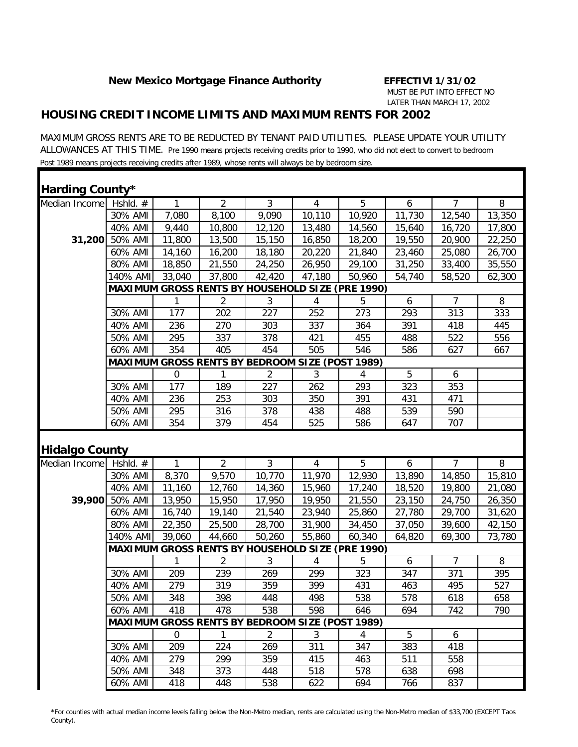#### *HOUSING CREDIT INCOME LIMITS AND MAXIMUM RENTS FOR 2002*

MAXIMUM GROSS RENTS ARE TO BE REDUCTED BY TENANT PAID UTILITIES. PLEASE UPDATE YOUR UTILITY ALLOWANCES AT THIS TIME. Pre 1990 means projects receiving credits prior to 1990, who did not elect to convert to bedroom Post 1989 means projects receiving credits after 1989, whose rents will always be by bedroom size.

| <b>Harding County*</b>   |          |        |                                                        |                |                |                                                         |        |                |                |
|--------------------------|----------|--------|--------------------------------------------------------|----------------|----------------|---------------------------------------------------------|--------|----------------|----------------|
| Median Income   Hshld. # |          | 1      | $\overline{2}$                                         | $\overline{3}$ | $\overline{4}$ | $\overline{5}$                                          | 6      | $\overline{7}$ | 8              |
|                          | 30% AMI  | 7,080  | 8,100                                                  | 9,090          | 10,110         | 10,920                                                  | 11,730 | 12,540         | 13,350         |
|                          | 40% AMI  | 9,440  | 10,800                                                 | 12,120         | 13,480         | 14,560                                                  | 15,640 | 16,720         | 17,800         |
| 31,200                   | 50% AMI  | 11,800 | 13,500                                                 | 15,150         | 16,850         | 18,200                                                  | 19,550 | 20,900         | 22,250         |
|                          | 60% AMI  | 14,160 | 16,200                                                 | 18,180         | 20,220         | 21,840                                                  | 23,460 | 25,080         | 26,700         |
|                          | 80% AMI  | 18,850 | 21,550                                                 | 24,250         | 26,950         | 29,100                                                  | 31,250 | 33,400         | 35,550         |
|                          | 140% AMI | 33,040 | 37,800                                                 | 42,420         | 47,180         | 50,960                                                  | 54,740 | 58,520         | 62,300         |
|                          |          |        |                                                        |                |                | MAXIMUM GROSS RENTS BY HOUSEHOLD SIZE (PRE 1990)        |        |                |                |
|                          |          | 1      | $\overline{2}$                                         | $\mathfrak{Z}$ | 4              | 5                                                       | 6      | $\overline{7}$ | 8              |
|                          | 30% AMI  | 177    | 202                                                    | 227            | 252            | 273                                                     | 293    | 313            | 333            |
|                          | 40% AMI  | 236    | 270                                                    | 303            | 337            | 364                                                     | 391    | 418            | 445            |
|                          | 50% AMI  | 295    | 337                                                    | 378            | 421            | 455                                                     | 488    | 522            | 556            |
|                          | 60% AMI  | 354    | 405                                                    | 454            | 505            | 546                                                     | 586    | 627            | 667            |
|                          |          |        | MAXIMUM GROSS RENTS BY BEDROOM SIZE (POST 1989)        |                |                |                                                         |        |                |                |
|                          |          | 0      |                                                        | $\overline{2}$ | 3              | 4                                                       | 5      | 6              |                |
|                          | 30% AMI  | 177    | 189                                                    | 227            | 262            | 293                                                     | 323    | 353            |                |
|                          | 40% AMI  | 236    | 253                                                    | 303            | 350            | 391                                                     | 431    | 471            |                |
|                          | 50% AMI  | 295    | 316                                                    | 378            | 438            | 488                                                     | 539    | 590            |                |
|                          | 60% AMI  | 354    | 379                                                    | 454            | 525            | 586                                                     | 647    | 707            |                |
| <b>Hidalgo County</b>    |          |        |                                                        |                |                |                                                         |        |                |                |
| Median Income Hshld. #   |          | 1      | $\overline{2}$                                         | $\overline{3}$ | $\overline{4}$ | $\overline{5}$                                          | 6      | $\overline{7}$ | $\overline{8}$ |
|                          | 30% AMI  | 8,370  | 9,570                                                  | 10,770         | 11,970         | 12,930                                                  | 13,890 | 14,850         | 15,810         |
|                          | 40% AMI  | 11,160 | 12,760                                                 | 14,360         | 15,960         | 17,240                                                  | 18,520 | 19,800         | 21,080         |
| 39,900                   | 50% AMI  | 13,950 | 15,950                                                 | 17,950         | 19,950         | 21,550                                                  | 23,150 | 24,750         | 26,350         |
|                          | 60% AMI  | 16,740 | 19,140                                                 | 21,540         | 23,940         | 25,860                                                  | 27,780 | 29,700         | 31,620         |
|                          | 80% AMI  | 22,350 | 25,500                                                 | 28,700         | 31,900         | 34,450                                                  | 37,050 | 39,600         | 42,150         |
|                          | 140% AMI | 39,060 | 44,660                                                 | 50,260         | 55,860         | 60,340                                                  | 64,820 | 69,300         | 73,780         |
|                          |          |        |                                                        |                |                | <b>MAXIMUM GROSS RENTS BY HOUSEHOLD SIZE (PRE 1990)</b> |        |                |                |
|                          |          | 1      | $\overline{2}$                                         | $\mathfrak{Z}$ | 4              | 5                                                       | 6      | $\overline{7}$ | 8              |
|                          | 30% AMI  | 209    | 239                                                    | 269            | 299            | 323                                                     | 347    | 371            | 395            |
|                          | 40% AMI  | 279    | 319                                                    | 359            | 399            | 431                                                     | 463    | 495            | 527            |
|                          | 50% AMI  | 348    | 398                                                    | 448            | 498            | 538                                                     | 578    | 618            | 658            |
|                          | 60% AMI  | 418    | 478                                                    | 538            | 598            | 646                                                     | 694    | 742            | 790            |
|                          |          |        | <b>MAXIMUM GROSS RENTS BY BEDROOM SIZE (POST 1989)</b> |                |                |                                                         |        |                |                |
|                          |          | 0      | 1                                                      | $\overline{2}$ | 3              | 4                                                       | 5      | 6              |                |
|                          | 30% AMI  | 209    | 224                                                    | 269            | 311            | 347                                                     | 383    | 418            |                |
|                          | 40% AMI  | 279    | 299                                                    | 359            | 415            | 463                                                     | 511    | 558            |                |
|                          | 50% AMI  | 348    | 373                                                    | 448            | 518            | 578                                                     | 638    | 698            |                |
|                          |          |        |                                                        |                |                |                                                         |        |                |                |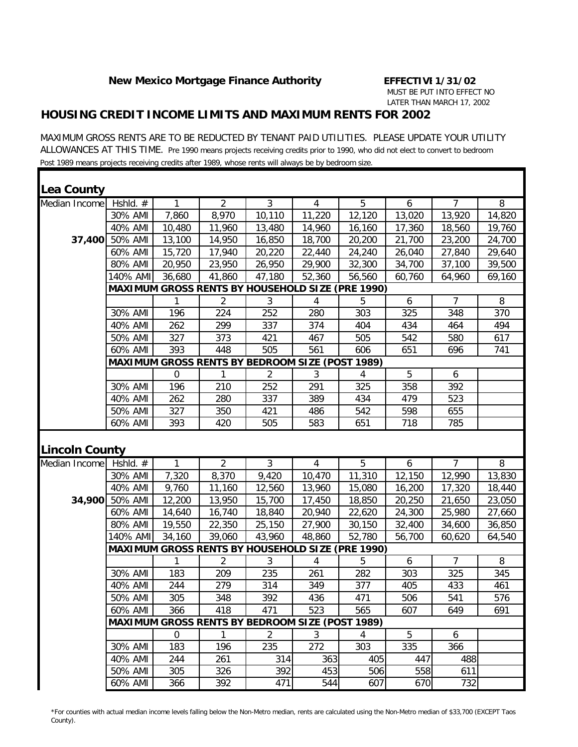### *HOUSING CREDIT INCOME LIMITS AND MAXIMUM RENTS FOR 2002*

MAXIMUM GROSS RENTS ARE TO BE REDUCTED BY TENANT PAID UTILITIES. PLEASE UPDATE YOUR UTILITY ALLOWANCES AT THIS TIME. Pre 1990 means projects receiving credits prior to 1990, who did not elect to convert to bedroom Post 1989 means projects receiving credits after 1989, whose rents will always be by bedroom size.

| Lea County            |                    |             |                                                        |                |                |                                                         |            |                |        |
|-----------------------|--------------------|-------------|--------------------------------------------------------|----------------|----------------|---------------------------------------------------------|------------|----------------|--------|
| Median Income         | Hshld. #           | 1           | 2                                                      | $\mathfrak{Z}$ | $\overline{4}$ | 5                                                       | 6          | $\overline{7}$ | 8      |
|                       | 30% AMI            | 7,860       | 8,970                                                  | 10,110         | 11,220         | 12,120                                                  | 13,020     | 13,920         | 14,820 |
|                       | 40% AMI            | 10,480      | 11,960                                                 | 13,480         | 14,960         | 16,160                                                  | 17,360     | 18,560         | 19,760 |
| 37,400                | 50% AMI            | 13,100      | 14,950                                                 | 16,850         | 18,700         | 20,200                                                  | 21,700     | 23,200         | 24,700 |
|                       | 60% AMI            | 15,720      | 17,940                                                 | 20,220         | 22,440         | 24,240                                                  | 26,040     | 27,840         | 29,640 |
|                       | 80% AMI            | 20,950      | 23,950                                                 | 26,950         | 29,900         | 32,300                                                  | 34,700     | 37,100         | 39,500 |
|                       | 140% AMI           | 36,680      | 41,860                                                 | 47,180         | 52,360         | 56,560                                                  | 60,760     | 64,960         | 69,160 |
|                       |                    |             |                                                        |                |                | <b>MAXIMUM GROSS RENTS BY HOUSEHOLD SIZE (PRE 1990)</b> |            |                |        |
|                       |                    | 1           | $\overline{2}$                                         | 3              | 4              | 5                                                       | 6          | $\overline{7}$ | 8      |
|                       | 30% AMI            | 196         | 224                                                    | 252            | 280            | 303                                                     | 325        | 348            | 370    |
|                       | 40% AMI            | 262         | 299                                                    | 337            | 374            | 404                                                     | 434        | 464            | 494    |
|                       | 50% AMI            | 327         | 373                                                    | 421            | 467            | 505                                                     | 542        | 580            | 617    |
|                       | 60% AMI            | 393         | 448                                                    | 505            | 561            | 606                                                     | 651        | 696            | 741    |
|                       |                    |             | MAXIMUM GROSS RENTS BY BEDROOM SIZE (POST 1989)        |                |                |                                                         |            |                |        |
|                       |                    | $\mathbf 0$ | 1                                                      | $\overline{2}$ | 3              | 4                                                       | 5          | 6              |        |
|                       | 30% AMI            | 196         | 210                                                    | 252            | 291            | 325                                                     | 358        | 392            |        |
|                       | 40% AMI            | 262         | 280                                                    | 337            | 389            | 434                                                     | 479        | 523            |        |
|                       | 50% AMI            | 327         | 350                                                    | 421            | 486            | 542                                                     | 598        | 655            |        |
|                       | 60% AMI            | 393         | 420                                                    | 505            | 583            | 651                                                     | 718        | 785            |        |
| <b>Lincoln County</b> |                    |             |                                                        |                |                |                                                         |            |                |        |
| Median Income         | Hshld. #           | 1           | 2                                                      | $\mathfrak{Z}$ | $\overline{4}$ | 5                                                       | 6          | $\overline{7}$ | 8      |
|                       | 30% AMI            | 7,320       | 8,370                                                  | 9,420          | 10,470         | 11,310                                                  | 12,150     | 12,990         | 13,830 |
|                       | 40% AMI            | 9,760       | 11,160                                                 | 12,560         | 13,960         | 15,080                                                  | 16,200     | 17,320         | 18,440 |
| 34,900                | 50% AMI            | 12,200      | 13,950                                                 | 15,700         | 17,450         | 18,850                                                  | 20,250     | 21,650         | 23,050 |
|                       | 60% AMI            | 14,640      | 16,740                                                 | 18,840         | 20,940         | 22,620                                                  | 24,300     | 25,980         | 27,660 |
|                       | 80% AMI            | 19,550      | 22,350                                                 | 25,150         | 27,900         | 30,150                                                  | 32,400     | 34,600         | 36,850 |
|                       | 140% AMI           | 34,160      | 39,060                                                 | 43,960         | 48,860         | 52,780                                                  | 56,700     | 60,620         | 64,540 |
|                       |                    |             |                                                        |                |                | MAXIMUM GROSS RENTS BY HOUSEHOLD SIZE (PRE 1990)        |            |                |        |
|                       |                    |             | $\overline{2}$                                         | 3              | 4              | 5                                                       | 6          | $\overline{7}$ | 8      |
|                       | 30% AMI            | 183         | 209                                                    | 235            | 261            | 282                                                     | 303        | 325            | 345    |
|                       | 40% AMI            | 244         | 279                                                    | 314            | 349            | 377                                                     | 405        | 433            | 461    |
|                       | 50% AMI            | 305         | 348                                                    | 392            | 436            | 471                                                     | 506        | 541            | 576    |
|                       | 60% AMI            | 366         | 418                                                    | 471            | 523            | 565                                                     | 607        | 649            | 691    |
|                       |                    |             | <b>MAXIMUM GROSS RENTS BY BEDROOM SIZE (POST 1989)</b> |                |                |                                                         |            |                |        |
|                       |                    | 0           | $\mathbf{1}$                                           | $\overline{2}$ | 3              | 4                                                       | 5          | 6              |        |
|                       | 30% AMI            | 183         | 196                                                    | 235            | 272            | 303                                                     | 335        | 366            |        |
|                       | 40% AMI            | 244         | 261                                                    | 314            | 363            | 405                                                     | 447        | 488            |        |
|                       |                    |             |                                                        |                |                |                                                         |            |                |        |
|                       | 50% AMI<br>60% AMI | 305<br>366  | 326<br>392                                             | 392<br>471     | 453<br>544     | 506<br>607                                              | 558<br>670 | 611<br>732     |        |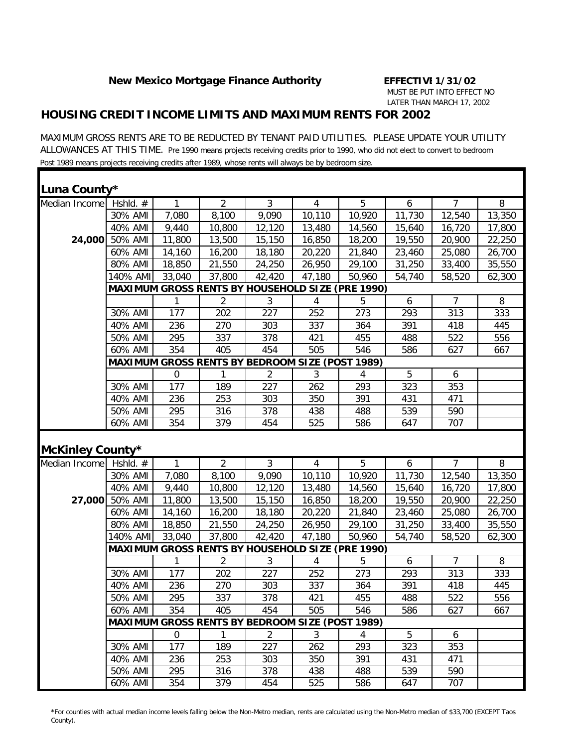### *HOUSING CREDIT INCOME LIMITS AND MAXIMUM RENTS FOR 2002*

MAXIMUM GROSS RENTS ARE TO BE REDUCTED BY TENANT PAID UTILITIES. PLEASE UPDATE YOUR UTILITY ALLOWANCES AT THIS TIME. Pre 1990 means projects receiving credits prior to 1990, who did not elect to convert to bedroom Post 1989 means projects receiving credits after 1989, whose rents will always be by bedroom size.

| Luna County*            |                |                                                        |                |                |        |                                                         |        |                |        |
|-------------------------|----------------|--------------------------------------------------------|----------------|----------------|--------|---------------------------------------------------------|--------|----------------|--------|
| Median Income           | Hshld. $#$     | $\mathbf{1}$                                           | $\overline{2}$ | $\mathfrak{Z}$ | 4      | 5                                                       | 6      | $\overline{7}$ | 8      |
|                         | 30% AMI        | 7,080                                                  | 8,100          | 9,090          | 10,110 | 10,920                                                  | 11,730 | 12,540         | 13,350 |
|                         | 40% AMI        | 9,440                                                  | 10,800         | 12,120         | 13,480 | 14,560                                                  | 15,640 | 16,720         | 17,800 |
| 24,000                  | 50% AMI        | 11,800                                                 | 13,500         | 15,150         | 16,850 | 18,200                                                  | 19,550 | 20,900         | 22,250 |
|                         | 60% AMI        | 14,160                                                 | 16,200         | 18,180         | 20,220 | 21,840                                                  | 23,460 | 25,080         | 26,700 |
|                         | 80% AMI        | 18,850                                                 | 21,550         | 24,250         | 26,950 | 29,100                                                  | 31,250 | 33,400         | 35,550 |
|                         | 140% AMI       | 33,040                                                 | 37,800         | 42,420         | 47,180 | 50,960                                                  | 54,740 | 58,520         | 62,300 |
|                         |                |                                                        |                |                |        | <b>MAXIMUM GROSS RENTS BY HOUSEHOLD SIZE (PRE 1990)</b> |        |                |        |
|                         |                | 1                                                      | 2              | 3              | 4      | 5                                                       | 6      | $\overline{7}$ | 8      |
|                         | 30% AMI        | 177                                                    | 202            | 227            | 252    | 273                                                     | 293    | 313            | 333    |
|                         | 40% AMI        | 236                                                    | 270            | 303            | 337    | 364                                                     | 391    | 418            | 445    |
|                         | 50% AMI        | 295                                                    | 337            | 378            | 421    | 455                                                     | 488    | 522            | 556    |
|                         | 60% AMI        | 354                                                    | 405            | 454            | 505    | 546                                                     | 586    | 627            | 667    |
|                         |                | <b>MAXIMUM GROSS RENTS BY BEDROOM SIZE (POST 1989)</b> |                |                |        |                                                         |        |                |        |
|                         |                | $\mathbf 0$                                            | 1              | $\overline{2}$ | 3      | 4                                                       | 5      | 6              |        |
|                         | 30% AMI        | 177                                                    | 189            | 227            | 262    | 293                                                     | 323    | 353            |        |
|                         | 40% AMI        | 236                                                    | 253            | 303            | 350    | 391                                                     | 431    | 471            |        |
|                         | 50% AMI        | 295                                                    | 316            | 378            | 438    | 488                                                     | 539    | 590            |        |
|                         | 60% AMI        | 354                                                    | 379            | 454            | 525    | 586                                                     | 647    | 707            |        |
| <b>McKinley County*</b> |                |                                                        |                |                |        |                                                         |        |                |        |
| Median Income Hshld. #  |                | 1                                                      | $\overline{2}$ | $\mathfrak{Z}$ | 4      | 5                                                       | 6      | $\overline{7}$ | 8      |
|                         | 30% AMI        | 7,080                                                  | 8,100          | 9,090          | 10,110 | 10,920                                                  | 11,730 | 12,540         | 13,350 |
|                         | 40% AMI        | 9,440                                                  | 10,800         | 12,120         | 13,480 | 14,560                                                  | 15,640 | 16,720         | 17,800 |
|                         | 27,000 50% AMI | 11,800                                                 | 13,500         | 15,150         | 16,850 | 18,200                                                  | 19,550 | 20,900         | 22,250 |
|                         | 60% AMI        | 14,160                                                 | 16,200         | 18,180         | 20,220 | 21,840                                                  | 23,460 | 25,080         | 26,700 |
|                         | 80% AMI        | 18,850                                                 | 21,550         | 24,250         | 26,950 | 29,100                                                  | 31,250 | 33,400         | 35,550 |
|                         | 140% AMI       | 33,040                                                 | 37,800         | 42,420         | 47,180 | 50,960                                                  | 54,740 | 58,520         | 62,300 |
|                         |                |                                                        |                |                |        | <b>MAXIMUM GROSS RENTS BY HOUSEHOLD SIZE (PRE 1990)</b> |        |                |        |
|                         |                | 1                                                      | 2              | 3              | 4      | 5                                                       | 6      | $\overline{7}$ | 8      |
|                         | 30% AMI        | 177                                                    | 202            | 227            | 252    | 273                                                     | 293    | 313            | 333    |
|                         | 40% AMI        | 236                                                    | 270            | 303            | 337    | 364                                                     | 391    | 418            | 445    |
|                         | 50% AMI        | 295                                                    | 337            | 378            | 421    | 455                                                     | 488    | 522            | 556    |
|                         | 60% AMI        | 354                                                    | 405            | 454            | 505    | 546                                                     | 586    | 627            | 667    |
|                         |                | <b>MAXIMUM GROSS RENTS BY BEDROOM SIZE (POST 1989)</b> |                |                |        |                                                         |        |                |        |
|                         |                | 0                                                      | $\mathbf{1}$   | $\overline{2}$ | 3      | 4                                                       | 5      | 6              |        |
|                         | 30% AMI        | 177                                                    | 189            | 227            | 262    | 293                                                     | 323    | 353            |        |
|                         | 40% AMI        | 236                                                    | 253            | 303            | 350    | 391                                                     | 431    | 471            |        |
|                         | 50% AMI        | 295                                                    | 316            | 378            | 438    | 488                                                     | 539    | 590            |        |
|                         | 60% AMI        | 354                                                    | 379            | 454            | 525    | 586                                                     | 647    | 707            |        |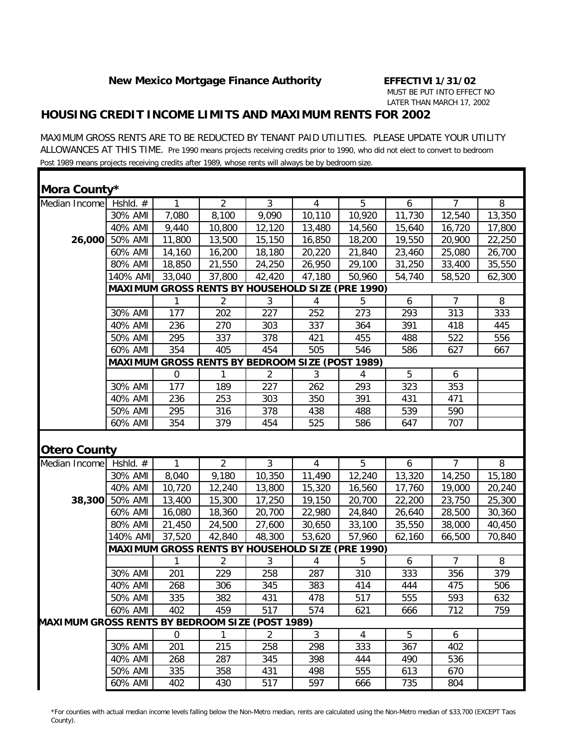### *HOUSING CREDIT INCOME LIMITS AND MAXIMUM RENTS FOR 2002*

MAXIMUM GROSS RENTS ARE TO BE REDUCTED BY TENANT PAID UTILITIES. PLEASE UPDATE YOUR UTILITY ALLOWANCES AT THIS TIME. Pre 1990 means projects receiving credits prior to 1990, who did not elect to convert to bedroom Post 1989 means projects receiving credits after 1989, whose rents will always be by bedroom size.

| Mora County*                                           |                    |             |                                                        |                |                |                                                         |            |                |        |
|--------------------------------------------------------|--------------------|-------------|--------------------------------------------------------|----------------|----------------|---------------------------------------------------------|------------|----------------|--------|
| Median Income                                          | Hshld. #           | 1           | $\overline{2}$                                         | 3              | $\overline{4}$ | 5                                                       | 6          | $\overline{7}$ | 8      |
|                                                        | 30% AMI            | 7,080       | 8,100                                                  | 9,090          | 10,110         | 10,920                                                  | 11,730     | 12,540         | 13,350 |
|                                                        | 40% AMI            | 9,440       | 10,800                                                 | 12,120         | 13,480         | 14,560                                                  | 15,640     | 16,720         | 17,800 |
| 26,000                                                 | 50% AMI            | 11,800      | 13,500                                                 | 15,150         | 16,850         | 18,200                                                  | 19,550     | 20,900         | 22,250 |
|                                                        | 60% AMI            | 14,160      | 16,200                                                 | 18,180         | 20,220         | 21,840                                                  | 23,460     | 25,080         | 26,700 |
|                                                        | 80% AMI            | 18,850      | 21,550                                                 | 24,250         | 26,950         | 29,100                                                  | 31,250     | 33,400         | 35,550 |
|                                                        | 140% AMI           | 33,040      | 37,800                                                 | 42,420         | 47,180         | 50,960                                                  | 54,740     | 58,520         | 62,300 |
|                                                        |                    |             |                                                        |                |                | <b>MAXIMUM GROSS RENTS BY HOUSEHOLD SIZE (PRE 1990)</b> |            |                |        |
|                                                        |                    |             | $\overline{2}$                                         | 3              | 4              | 5                                                       | 6          | $\overline{7}$ | 8      |
|                                                        | 30% AMI            | 177         | 202                                                    | 227            | 252            | 273                                                     | 293        | 313            | 333    |
|                                                        | 40% AMI            | 236         | 270                                                    | 303            | 337            | 364                                                     | 391        | 418            | 445    |
|                                                        | 50% AMI            | 295         | 337                                                    | 378            | 421            | 455                                                     | 488        | 522            | 556    |
|                                                        | 60% AMI            | 354         | 405                                                    | 454            | 505            | 546                                                     | 586        | 627            | 667    |
|                                                        |                    |             | <b>MAXIMUM GROSS RENTS BY BEDROOM SIZE (POST 1989)</b> |                |                |                                                         |            |                |        |
|                                                        |                    | $\mathbf 0$ | 1                                                      | 2              | 3              | 4                                                       | 5          | 6              |        |
|                                                        | 30% AMI            | 177         | 189                                                    | 227            | 262            | 293                                                     | 323        | 353            |        |
|                                                        | 40% AMI            | 236         | 253                                                    | 303            | 350            | 391                                                     | 431        | 471            |        |
|                                                        | 50% AMI            | 295         | 316                                                    | 378            | 438            | 488                                                     | 539        | 590            |        |
|                                                        | 60% AMI            | 354         | 379                                                    | 454            | 525            | 586                                                     | 647        | 707            |        |
| <b>Otero County</b>                                    |                    |             |                                                        |                |                |                                                         |            |                |        |
|                                                        |                    |             |                                                        |                |                |                                                         |            |                |        |
| Median Income                                          | Hshld. #           | 1           | $\overline{2}$                                         | 3              | $\overline{4}$ | 5                                                       | 6          | $\overline{7}$ | 8      |
|                                                        | 30% AMI            | 8,040       | 9,180                                                  | 10,350         | 11,490         | 12,240                                                  | 13,320     | 14,250         | 15,180 |
|                                                        | 40% AMI            | 10,720      | 12,240                                                 | 13,800         | 15,320         | 16,560                                                  | 17,760     | 19,000         | 20,240 |
| 38,300                                                 | 50% AMI            | 13,400      | 15,300                                                 | 17,250         | 19,150         | 20,700                                                  | 22,200     | 23,750         | 25,300 |
|                                                        | 60% AMI            | 16,080      | 18,360                                                 | 20,700         | 22,980         | 24,840                                                  | 26,640     | 28,500         | 30,360 |
|                                                        | 80% AMI            | 21,450      | 24,500                                                 | 27,600         | 30,650         | 33,100                                                  | 35,550     | 38,000         | 40,450 |
|                                                        | 140% AMI           | 37,520      | 42,840                                                 | 48,300         | 53,620         | 57,960                                                  | 62,160     | 66,500         | 70,840 |
|                                                        |                    |             |                                                        |                |                | <b>MAXIMUM GROSS RENTS BY HOUSEHOLD SIZE (PRE 1990)</b> |            |                |        |
|                                                        |                    |             | 2                                                      | 3              | 4              | 5                                                       | 6          | 7              | 8      |
|                                                        | 30% AMI            | 201         | 229                                                    | 258            | 287            | 310                                                     | 333        | 356            | 379    |
|                                                        | 40% AMI            | 268         | 306                                                    | 345            | 383            | 414                                                     | 444        | 475            | 506    |
|                                                        | 50% AMI            | 335         | 382                                                    | 431            | 478            | 517                                                     | 555        | 593            | 632    |
|                                                        | 60% AMI            | 402         | 459                                                    | 517            | 574            | 621                                                     | 666        | 712            | 759    |
|                                                        |                    |             |                                                        |                |                |                                                         |            |                |        |
|                                                        |                    | $\mathbf 0$ | $\mathbf{1}$                                           | $\overline{2}$ | 3              | 4                                                       | 5          | 6              |        |
|                                                        | 30% AMI            | 201         | 215                                                    | 258            | 298            | 333                                                     | 367        | 402            |        |
| <b>MAXIMUM GROSS RENTS BY BEDROOM SIZE (POST 1989)</b> | 40% AMI            | 268         | 287                                                    | 345            | 398            | 444                                                     | 490        | 536            |        |
|                                                        | 50% AMI<br>60% AMI | 335<br>402  | 358<br>430                                             | 431<br>517     | 498<br>597     | 555<br>666                                              | 613<br>735 | 670<br>804     |        |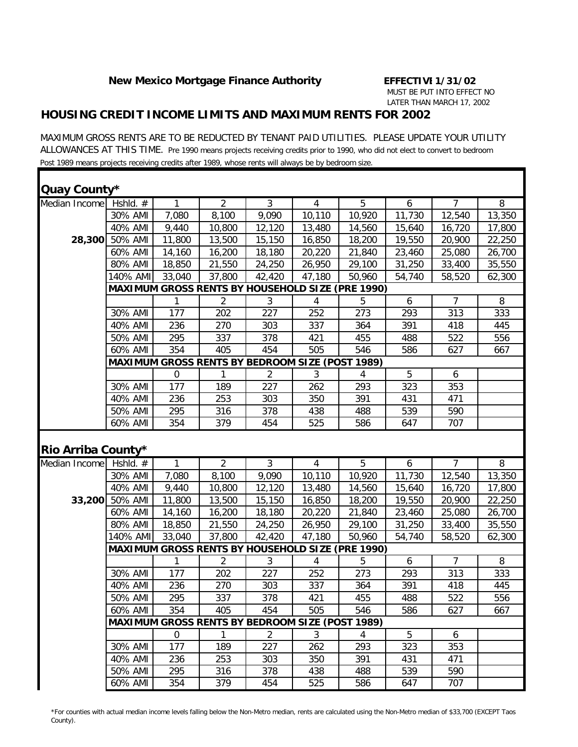#### *HOUSING CREDIT INCOME LIMITS AND MAXIMUM RENTS FOR 2002*

MAXIMUM GROSS RENTS ARE TO BE REDUCTED BY TENANT PAID UTILITIES. PLEASE UPDATE YOUR UTILITY ALLOWANCES AT THIS TIME. Pre 1990 means projects receiving credits prior to 1990, who did not elect to convert to bedroom Post 1989 means projects receiving credits after 1989, whose rents will always be by bedroom size.

| Quay County*             |          |                  |                                                        |                |                |                                                         |        |                |                |
|--------------------------|----------|------------------|--------------------------------------------------------|----------------|----------------|---------------------------------------------------------|--------|----------------|----------------|
| Median Income            | Hshld. # | 1                | $\overline{2}$                                         | $\overline{3}$ | $\overline{4}$ | 5                                                       | 6      | $\overline{7}$ | 8              |
|                          | 30% AMI  | 7,080            | 8,100                                                  | 9,090          | 10,110         | 10,920                                                  | 11,730 | 12,540         | 13,350         |
|                          | 40% AMI  | 9,440            | 10,800                                                 | 12,120         | 13,480         | 14,560                                                  | 15,640 | 16,720         | 17,800         |
| 28,300                   | 50% AMI  | 11,800           | 13,500                                                 | 15,150         | 16,850         | 18,200                                                  | 19,550 | 20,900         | 22,250         |
|                          | 60% AMI  | 14,160           | 16,200                                                 | 18,180         | 20,220         | 21,840                                                  | 23,460 | 25,080         | 26,700         |
|                          | 80% AMI  | 18,850           | 21,550                                                 | 24,250         | 26,950         | 29,100                                                  | 31,250 | 33,400         | 35,550         |
|                          | 140% AMI | 33,040           | 37,800                                                 | 42,420         | 47,180         | 50,960                                                  | 54,740 | 58,520         | 62,300         |
|                          |          |                  |                                                        |                |                | MAXIMUM GROSS RENTS BY HOUSEHOLD SIZE (PRE 1990)        |        |                |                |
|                          |          | 1                | 2                                                      | $\mathfrak{Z}$ | 4              | 5                                                       | 6      | $\overline{7}$ | 8              |
|                          | 30% AMI  | 177              | 202                                                    | 227            | 252            | 273                                                     | 293    | 313            | 333            |
|                          | 40% AMI  | 236              | 270                                                    | 303            | 337            | 364                                                     | 391    | 418            | 445            |
|                          | 50% AMI  | 295              | 337                                                    | 378            | 421            | 455                                                     | 488    | 522            | 556            |
|                          | 60% AMI  | 354              | 405                                                    | 454            | 505            | 546                                                     | 586    | 627            | 667            |
|                          |          |                  | MAXIMUM GROSS RENTS BY BEDROOM SIZE (POST 1989)        |                |                |                                                         |        |                |                |
|                          |          | $\mathbf 0$      |                                                        | $\overline{2}$ | 3              | 4                                                       | 5      | 6              |                |
|                          | 30% AMI  | 177              | 189                                                    | 227            | 262            | 293                                                     | 323    | 353            |                |
|                          | 40% AMI  | 236              | 253                                                    | 303            | 350            | 391                                                     | 431    | 471            |                |
|                          | 50% AMI  | 295              | 316                                                    | 378            | 438            | 488                                                     | 539    | 590            |                |
|                          | 60% AMI  | 354              | 379                                                    | 454            | 525            | 586                                                     | 647    | 707            |                |
| Rio Arriba County*       |          |                  |                                                        |                |                |                                                         |        |                |                |
| Median Income Hshld. $#$ |          | 1                | $\overline{2}$                                         | $\overline{3}$ | $\overline{4}$ | 5                                                       | 6      | $\overline{7}$ | $\overline{8}$ |
|                          | 30% AMI  | 7,080            | 8,100                                                  | 9,090          | 10,110         | 10,920                                                  | 11,730 | 12,540         | 13,350         |
|                          | 40% AMI  | 9,440            | 10,800                                                 | 12,120         | 13,480         | 14,560                                                  | 15,640 | 16,720         | 17,800         |
| 33,200                   | 50% AMI  | 11,800           | 13,500                                                 | 15,150         | 16,850         | 18,200                                                  | 19,550 | 20,900         | 22,250         |
|                          | 60% AMI  | 14,160           | 16,200                                                 | 18,180         | 20,220         | 21,840                                                  | 23,460 | 25,080         | 26,700         |
|                          | 80% AMI  | 18,850           | 21,550                                                 | 24,250         | 26,950         | 29,100                                                  | 31,250 | 33,400         | 35,550         |
|                          | 140% AMI | 33,040           | 37,800                                                 | 42,420         | 47,180         | 50,960                                                  | 54,740 | 58,520         | 62,300         |
|                          |          |                  |                                                        |                |                | <b>MAXIMUM GROSS RENTS BY HOUSEHOLD SIZE (PRE 1990)</b> |        |                |                |
|                          |          | 1                | $\overline{2}$                                         | $\mathfrak{Z}$ | 4              | 5                                                       | 6      | $\overline{7}$ | 8              |
|                          | 30% AMI  | 177              | 202                                                    | 227            | 252            | 273                                                     | 293    | 313            | 333            |
|                          | 40% AMI  | 236              | 270                                                    | 303            | 337            | 364                                                     | 391    | 418            | 445            |
|                          | 50% AMI  | 295              | 337                                                    | 378            | 421            | 455                                                     | 488    | 522            | 556            |
|                          | 60% AMI  | 354              | 405                                                    | 454            | 505            | 546                                                     | 586    | 627            | 667            |
|                          |          |                  | <b>MAXIMUM GROSS RENTS BY BEDROOM SIZE (POST 1989)</b> |                |                |                                                         |        |                |                |
|                          |          | $\boldsymbol{0}$ | $\mathbf{1}$                                           | $\overline{2}$ | $\mathfrak{Z}$ | $\overline{4}$                                          | 5      | 6              |                |
|                          | 30% AMI  | 177              | 189                                                    | 227            | 262            | 293                                                     | 323    | 353            |                |
|                          | 40% AMI  | 236              | 253                                                    | 303            | 350            | 391                                                     | 431    | 471            |                |
|                          | 50% AMI  | 295              | 316                                                    | 378            | 438            | 488                                                     | 539    | 590            |                |
|                          | 60% AMI  | 354              | 379                                                    | 454            | 525            | 586                                                     | 647    | 707            |                |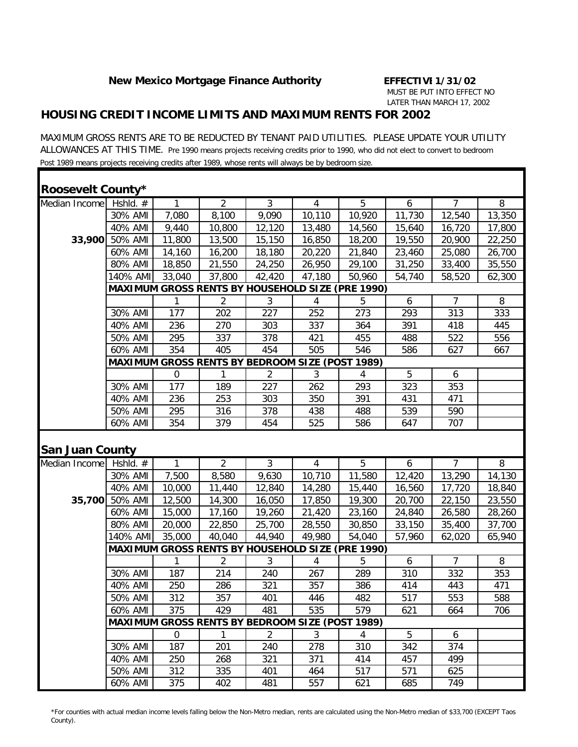### *HOUSING CREDIT INCOME LIMITS AND MAXIMUM RENTS FOR 2002*

MAXIMUM GROSS RENTS ARE TO BE REDUCTED BY TENANT PAID UTILITIES. PLEASE UPDATE YOUR UTILITY ALLOWANCES AT THIS TIME. Pre 1990 means projects receiving credits prior to 1990, who did not elect to convert to bedroom Post 1989 means projects receiving credits after 1989, whose rents will always be by bedroom size.

| <b>Roosevelt County*</b> |            |             |                                                        |                |                |                                                         |        |                |        |
|--------------------------|------------|-------------|--------------------------------------------------------|----------------|----------------|---------------------------------------------------------|--------|----------------|--------|
| Median Income            | Hshid. $#$ | 1           | $\overline{2}$                                         | $\mathfrak{Z}$ | $\overline{4}$ | 5                                                       | 6      | $\overline{7}$ | 8      |
|                          | 30% AMI    | 7,080       | 8,100                                                  | 9,090          | 10,110         | 10,920                                                  | 11,730 | 12,540         | 13,350 |
|                          | 40% AMI    | 9,440       | 10,800                                                 | 12,120         | 13,480         | 14,560                                                  | 15,640 | 16,720         | 17,800 |
| 33,900                   | 50% AMI    | 11,800      | 13,500                                                 | 15,150         | 16,850         | 18,200                                                  | 19,550 | 20,900         | 22,250 |
|                          | 60% AMI    | 14,160      | 16,200                                                 | 18,180         | 20,220         | 21,840                                                  | 23,460 | 25,080         | 26,700 |
|                          | 80% AMI    | 18,850      | 21,550                                                 | 24,250         | 26,950         | 29,100                                                  | 31,250 | 33,400         | 35,550 |
|                          | 140% AMI   | 33,040      | 37,800                                                 | 42,420         | 47,180         | 50,960                                                  | 54,740 | 58,520         | 62,300 |
|                          |            |             |                                                        |                |                | <b>MAXIMUM GROSS RENTS BY HOUSEHOLD SIZE (PRE 1990)</b> |        |                |        |
|                          |            | 1           | 2                                                      | 3              | 4              | 5                                                       | 6      | $\overline{7}$ | 8      |
|                          | 30% AMI    | 177         | 202                                                    | 227            | 252            | 273                                                     | 293    | 313            | 333    |
|                          | 40% AMI    | 236         | 270                                                    | 303            | 337            | 364                                                     | 391    | 418            | 445    |
|                          | 50% AMI    | 295         | 337                                                    | 378            | 421            | 455                                                     | 488    | 522            | 556    |
|                          | 60% AMI    | 354         | 405                                                    | 454            | 505            | 546                                                     | 586    | 627            | 667    |
|                          |            |             | <b>MAXIMUM GROSS RENTS BY BEDROOM SIZE (POST 1989)</b> |                |                |                                                         |        |                |        |
|                          |            | 0           |                                                        | 2              | 3              | 4                                                       | 5      | 6              |        |
|                          | 30% AMI    | 177         | 189                                                    | 227            | 262            | 293                                                     | 323    | 353            |        |
|                          | 40% AMI    | 236         | 253                                                    | 303            | 350            | 391                                                     | 431    | 471            |        |
|                          | 50% AMI    | 295         | 316                                                    | 378            | 438            | 488                                                     | 539    | 590            |        |
|                          | 60% AMI    | 354         | 379                                                    | 454            | 525            | 586                                                     | 647    | 707            |        |
| <b>San Juan County</b>   |            |             |                                                        |                |                |                                                         |        |                |        |
| Median Income            | Hshld. $#$ | 1           | $\overline{2}$                                         | $\mathfrak{Z}$ | $\overline{4}$ | 5                                                       | 6      | $\overline{7}$ | 8      |
|                          | 30% AMI    | 7,500       | 8,580                                                  | 9,630          | 10,710         | 11,580                                                  | 12,420 | 13,290         | 14,130 |
|                          | 40% AMI    | 10,000      | 11,440                                                 | 12,840         | 14,280         | 15,440                                                  | 16,560 | 17,720         | 18,840 |
| 35,700                   | 50% AMI    | 12,500      | 14,300                                                 | 16,050         | 17,850         | 19,300                                                  | 20,700 | 22,150         | 23,550 |
|                          | 60% AMI    | 15,000      | 17,160                                                 | 19,260         | 21,420         | 23,160                                                  | 24,840 | 26,580         | 28,260 |
|                          | 80% AMI    | 20,000      | 22,850                                                 | 25,700         | 28,550         | 30,850                                                  | 33,150 | 35,400         | 37,700 |
|                          | 140% AMI   | 35,000      | 40,040                                                 |                |                |                                                         |        |                |        |
|                          |            |             |                                                        | 44,940         | 49,980         | 54,040                                                  | 57,960 | 62,020         | 65,940 |
|                          |            |             |                                                        |                |                | <b>MAXIMUM GROSS RENTS BY HOUSEHOLD SIZE (PRE 1990)</b> |        |                |        |
|                          |            | 1           | 2                                                      | 3              | 4              | 5                                                       | 6      | 7              | 8      |
|                          | 30% AMI    | 187         | 214                                                    | 240            | 267            | 289                                                     | 310    | 332            | 353    |
|                          | 40% AMI    | 250         | 286                                                    | 321            | 357            | 386                                                     | 414    | 443            | 471    |
|                          | 50% AMI    | 312         | 357                                                    | 401            | 446            | 482                                                     | 517    | 553            | 588    |
|                          | 60% AMI    | 375         | 429                                                    | 481            | 535            | 579                                                     | 621    | 664            | 706    |
|                          |            |             | <b>MAXIMUM GROSS RENTS BY BEDROOM SIZE (POST 1989)</b> |                |                |                                                         |        |                |        |
|                          |            | $\mathbf 0$ | $\mathbf{1}$                                           | 2              | 3              | 4                                                       | 5      | 6              |        |
|                          | 30% AMI    | 187         | 201                                                    | 240            | 278            | 310                                                     | 342    | 374            |        |
|                          | 40% AMI    | 250         | 268                                                    | 321            | 371            | 414                                                     | 457    | 499            |        |
|                          | 50% AMI    | 312         | 335                                                    | 401            | 464            | 517                                                     | 571    | 625            |        |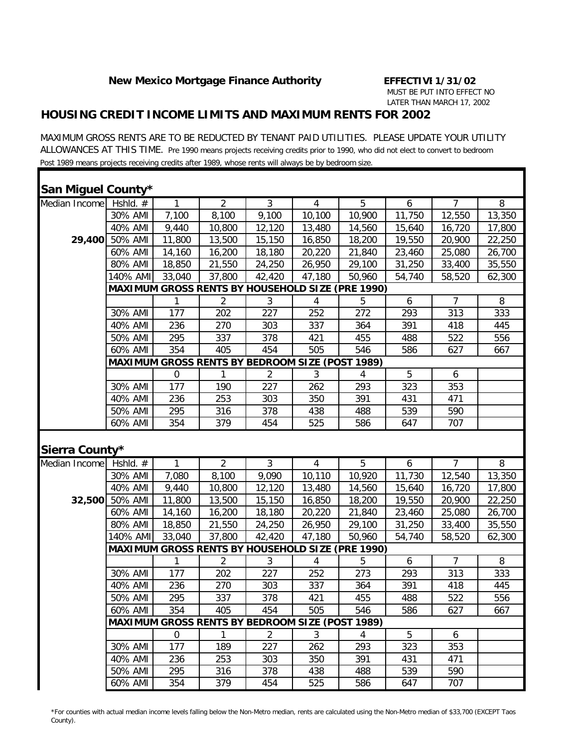#### *HOUSING CREDIT INCOME LIMITS AND MAXIMUM RENTS FOR 2002*

MAXIMUM GROSS RENTS ARE TO BE REDUCTED BY TENANT PAID UTILITIES. PLEASE UPDATE YOUR UTILITY ALLOWANCES AT THIS TIME. Pre 1990 means projects receiving credits prior to 1990, who did not elect to convert to bedroom Post 1989 means projects receiving credits after 1989, whose rents will always be by bedroom size.

| San Miguel County* |                                                 |        |                                                        |                |                |                                                  |        |                |        |  |
|--------------------|-------------------------------------------------|--------|--------------------------------------------------------|----------------|----------------|--------------------------------------------------|--------|----------------|--------|--|
| Median Income      | Hshid. $#$                                      | 1      | $\overline{2}$                                         | $\overline{3}$ | $\overline{4}$ | 5                                                | 6      | $\overline{7}$ | 8      |  |
|                    | 30% AMI                                         | 7,100  | 8,100                                                  | 9,100          | 10,100         | 10,900                                           | 11,750 | 12,550         | 13,350 |  |
|                    | 40% AMI                                         | 9,440  | 10,800                                                 | 12,120         | 13,480         | 14,560                                           | 15,640 | 16,720         | 17,800 |  |
| 29,400             | 50% AMI                                         | 11,800 | 13,500                                                 | 15,150         | 16,850         | 18,200                                           | 19,550 | 20,900         | 22,250 |  |
|                    | 60% AMI                                         | 14,160 | 16,200                                                 | 18,180         | 20,220         | 21,840                                           | 23,460 | 25,080         | 26,700 |  |
|                    | 80% AMI                                         | 18,850 | 21,550                                                 | 24,250         | 26,950         | 29,100                                           | 31,250 | 33,400         | 35,550 |  |
|                    | 140% AMI                                        | 33,040 | 37,800                                                 | 42,420         | 47,180         | 50,960                                           | 54,740 | 58,520         | 62,300 |  |
|                    |                                                 |        |                                                        |                |                | MAXIMUM GROSS RENTS BY HOUSEHOLD SIZE (PRE 1990) |        |                |        |  |
|                    |                                                 | 1      | 2                                                      | 3              | 4              | 5                                                | 6      | 7              | 8      |  |
|                    | 30% AMI                                         | 177    | 202                                                    | 227            | 252            | 272                                              | 293    | 313            | 333    |  |
|                    | 40% AMI                                         | 236    | 270                                                    | 303            | 337            | 364                                              | 391    | 418            | 445    |  |
|                    | 50% AMI                                         | 295    | 337                                                    | 378            | 421            | 455                                              | 488    | 522            | 556    |  |
|                    | 60% AMI                                         | 354    | 405                                                    | 454            | 505            | 546                                              | 586    | 627            | 667    |  |
|                    | MAXIMUM GROSS RENTS BY BEDROOM SIZE (POST 1989) |        |                                                        |                |                |                                                  |        |                |        |  |
|                    |                                                 | 0      | 1                                                      | 2              | 3              | 4                                                | 5      | 6              |        |  |
|                    | 30% AMI                                         | 177    | 190                                                    | 227            | 262            | 293                                              | 323    | 353            |        |  |
|                    | 40% AMI                                         | 236    | 253                                                    | 303            | 350            | 391                                              | 431    | 471            |        |  |
|                    | 50% AMI                                         | 295    | 316                                                    | 378            | 438            | 488                                              | 539    | 590            |        |  |
|                    | 60% AMI                                         | 354    | 379                                                    | 454            | 525            | 586                                              | 647    | 707            |        |  |
| Sierra County*     |                                                 |        |                                                        |                |                |                                                  |        |                |        |  |
| Median Income      | Hshld. $#$                                      | 1      | $\overline{2}$                                         | $\overline{3}$ | $\overline{4}$ | 5                                                | 6      | $\overline{7}$ | 8      |  |
|                    | 30% AMI                                         | 7,080  | 8,100                                                  | 9,090          | 10,110         | 10,920                                           | 11,730 | 12,540         | 13,350 |  |
|                    | 40% AMI                                         | 9,440  | 10,800                                                 | 12,120         | 13,480         | 14,560                                           | 15,640 | 16,720         | 17,800 |  |
|                    | 32,500 50% AMI                                  | 11,800 | 13,500                                                 | 15,150         | 16,850         | 18,200                                           | 19,550 | 20,900         | 22,250 |  |
|                    | 60% AMI                                         | 14,160 | 16,200                                                 | 18,180         |                |                                                  |        |                |        |  |
|                    | 80% AMI                                         |        |                                                        |                | 20,220         | 21,840                                           | 23,460 | 25,080         | 26,700 |  |
|                    |                                                 | 18,850 | 21,550                                                 | 24,250         | 26,950         | 29,100                                           | 31,250 | 33,400         | 35,550 |  |
|                    | 140% AMI                                        | 33,040 | 37,800                                                 | 42,420         | 47,180         | 50,960                                           | 54,740 | 58,520         | 62,300 |  |
|                    |                                                 |        |                                                        |                |                | MAXIMUM GROSS RENTS BY HOUSEHOLD SIZE (PRE 1990) |        |                |        |  |
|                    |                                                 | 1      | 2                                                      | 3              | 4              | 5                                                | 6      | 7              | 8      |  |
|                    | 30% AMI                                         | 177    | 202                                                    | 227            | 252            | 273                                              | 293    | 313            | 333    |  |
|                    | 40% AMI                                         | 236    | 270                                                    | 303            | 337            | 364                                              | 391    | 418            | 445    |  |
|                    | 50% AMI                                         | 295    | 337                                                    | 378            | 421            | 455                                              | 488    | 522            | 556    |  |
|                    | 60% AMI                                         | 354    | 405                                                    | 454            | 505            | 546                                              | 586    | 627            | 667    |  |
|                    |                                                 |        | <b>MAXIMUM GROSS RENTS BY BEDROOM SIZE (POST 1989)</b> |                |                |                                                  |        |                |        |  |
|                    |                                                 | 0      | 1                                                      | 2              | 3              | 4                                                | 5      | 6              |        |  |
|                    | 30% AMI                                         | 177    | 189                                                    | 227            | 262            | 293                                              | 323    | 353            |        |  |
|                    | 40% AMI                                         | 236    | 253                                                    | 303            | 350            | 391                                              | 431    | 471            |        |  |
|                    | 50% AMI                                         | 295    | 316                                                    | 378            | 438            | 488                                              | 539    | 590            |        |  |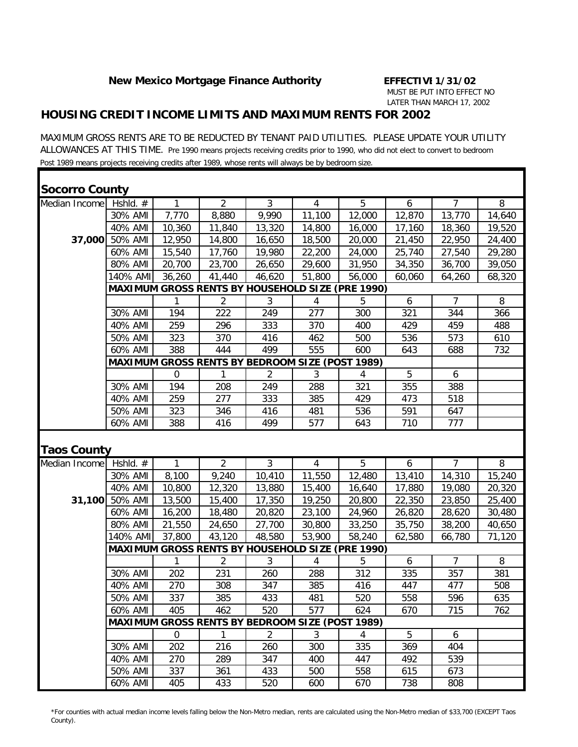### *HOUSING CREDIT INCOME LIMITS AND MAXIMUM RENTS FOR 2002*

MAXIMUM GROSS RENTS ARE TO BE REDUCTED BY TENANT PAID UTILITIES. PLEASE UPDATE YOUR UTILITY ALLOWANCES AT THIS TIME. Pre 1990 means projects receiving credits prior to 1990, who did not elect to convert to bedroom Post 1989 means projects receiving credits after 1989, whose rents will always be by bedroom size.

| <b>Socorro County</b> |                    |              |                                                        |            |                |                                                         |            |                |        |
|-----------------------|--------------------|--------------|--------------------------------------------------------|------------|----------------|---------------------------------------------------------|------------|----------------|--------|
| Median Income         | Hshld. #           | 1            | $\overline{2}$                                         | 3          | 4              | 5                                                       | 6          | $\overline{7}$ | 8      |
|                       | 30% AMI            | 7,770        | 8,880                                                  | 9,990      | 11,100         | 12,000                                                  | 12,870     | 13,770         | 14,640 |
|                       | 40% AMI            | 10,360       | 11,840                                                 | 13,320     | 14,800         | 16,000                                                  | 17,160     | 18,360         | 19,520 |
|                       | 37,000 50% AMI     | 12,950       | 14,800                                                 | 16,650     | 18,500         | 20,000                                                  | 21,450     | 22,950         | 24,400 |
|                       | 60% AMI            | 15,540       | 17,760                                                 | 19,980     | 22,200         | 24,000                                                  | 25,740     | 27,540         | 29,280 |
|                       | 80% AMI            | 20,700       | 23,700                                                 | 26,650     | 29,600         | 31,950                                                  | 34,350     | 36,700         | 39,050 |
|                       | 140% AMI           | 36,260       | 41,440                                                 | 46,620     | 51,800         | 56,000                                                  | 60,060     | 64,260         | 68,320 |
|                       |                    |              |                                                        |            |                | <b>MAXIMUM GROSS RENTS BY HOUSEHOLD SIZE (PRE 1990)</b> |            |                |        |
|                       |                    | 1            | 2                                                      | 3          | 4              | 5                                                       | 6          | 7              | 8      |
|                       | 30% AMI            | 194          | 222                                                    | 249        | 277            | 300                                                     | 321        | 344            | 366    |
|                       | 40% AMI            | 259          | 296                                                    | 333        | 370            | 400                                                     | 429        | 459            | 488    |
|                       | 50% AMI            | 323          | 370                                                    | 416        | 462            | 500                                                     | 536        | 573            | 610    |
|                       | 60% AMI            | 388          | 444                                                    | 499        | 555            | 600                                                     | 643        | 688            | 732    |
|                       |                    |              | <b>MAXIMUM GROSS RENTS BY BEDROOM SIZE (POST 1989)</b> |            |                |                                                         |            |                |        |
|                       |                    | $\Omega$     | 1                                                      | 2          | 3              | 4                                                       | 5          | 6              |        |
|                       | 30% AMI            | 194          | 208                                                    | 249        | 288            | 321                                                     | 355        | 388            |        |
|                       | 40% AMI            | 259          | 277                                                    | 333        | 385            | 429                                                     | 473        | 518            |        |
|                       | 50% AMI            | 323          | 346                                                    | 416        | 481            | 536                                                     | 591        | 647            |        |
|                       | 60% AMI            | 388          | 416                                                    | 499        | 577            | 643                                                     | 710        | 777            |        |
| <b>Taos County</b>    |                    |              |                                                        |            |                |                                                         |            |                |        |
| Median Income         | Hshld. #           | $\mathbf{1}$ | $\overline{2}$                                         | 3          |                |                                                         |            |                |        |
|                       | 30% AMI            |              |                                                        |            | $\overline{4}$ | 5                                                       | 6          | $\overline{7}$ | 8      |
|                       |                    | 8,100        | 9,240                                                  | 10,410     | 11,550         | 12,480                                                  | 13,410     | 14,310         | 15,240 |
|                       | 40% AMI            | 10,800       | 12,320                                                 | 13,880     | 15,400         | 16,640                                                  | 17,880     | 19,080         | 20,320 |
|                       | 31,100 50% AMI     | 13,500       | 15,400                                                 | 17,350     | 19,250         | 20,800                                                  | 22,350     | 23,850         | 25,400 |
|                       | 60% AMI            | 16,200       | 18,480                                                 | 20,820     | 23,100         | 24,960                                                  | 26,820     | 28,620         | 30,480 |
|                       | 80% AMI            | 21,550       | 24,650                                                 | 27,700     | 30,800         | 33,250                                                  | 35,750     | 38,200         | 40,650 |
|                       | 140% AMI           | 37,800       | 43,120                                                 | 48,580     | 53,900         | 58,240                                                  | 62,580     | 66,780         | 71,120 |
|                       |                    |              |                                                        |            |                | <b>MAXIMUM GROSS RENTS BY HOUSEHOLD SIZE (PRE 1990)</b> |            |                |        |
|                       |                    | 1            | $\overline{2}$                                         | 3          | 4              | 5                                                       | 6          | $\overline{7}$ | 8      |
|                       | 30% AMI            | 202          | 231                                                    | 260        | 288            | 312                                                     | 335        | 357            | 381    |
|                       | 40% AMI            | 270          | 308                                                    | 347        | 385            | 416                                                     | 447        | 477            | 508    |
|                       | 50% AMI            | 337          | 385                                                    | 433        | 481            | 520                                                     | 558        | 596            | 635    |
|                       | 60% AMI            | 405          | 462                                                    | 520        | 577            | 624                                                     | 670        | 715            | 762    |
|                       |                    |              | <b>MAXIMUM GROSS RENTS BY BEDROOM SIZE (POST 1989)</b> |            |                |                                                         |            |                |        |
|                       |                    | 0            | 1                                                      | 2          | $\mathfrak{Z}$ | 4                                                       | 5          | 6              |        |
|                       | 30% AMI            | 202          | 216                                                    | 260        | 300            | 335                                                     | 369        | 404            |        |
|                       | 40% AMI            | 270          | 289                                                    | 347        | 400            | 447                                                     | 492        | 539            |        |
|                       | 50% AMI<br>60% AMI | 337<br>405   | 361<br>433                                             | 433<br>520 | 500            | 558<br>670                                              | 615<br>738 | 673<br>808     |        |